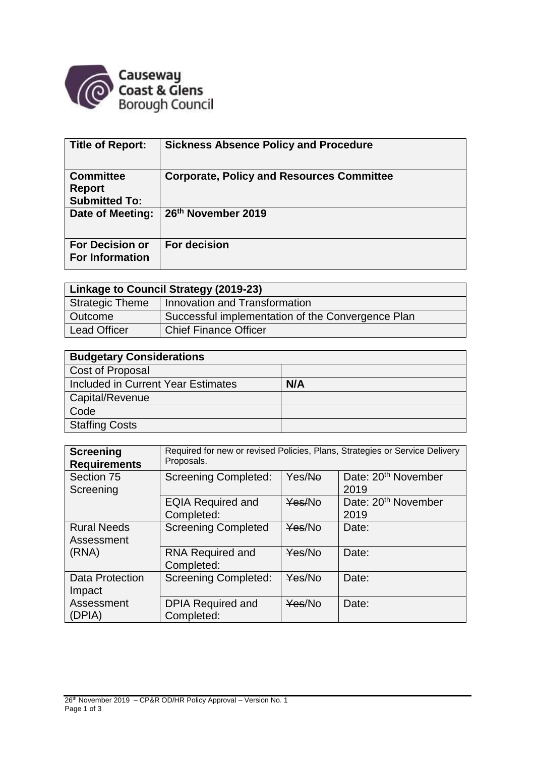

| <b>Title of Report:</b>                                   | <b>Sickness Absence Policy and Procedure</b>     |
|-----------------------------------------------------------|--------------------------------------------------|
| <b>Committee</b><br><b>Report</b><br><b>Submitted To:</b> | <b>Corporate, Policy and Resources Committee</b> |
| Date of Meeting:                                          | 26th November 2019                               |
| <b>For Decision or</b><br><b>For Information</b>          | For decision                                     |

| Linkage to Council Strategy (2019-23) |                                                   |  |
|---------------------------------------|---------------------------------------------------|--|
| <b>Strategic Theme</b>                | Innovation and Transformation                     |  |
| Outcome                               | Successful implementation of the Convergence Plan |  |
| <b>Lead Officer</b>                   | <b>Chief Finance Officer</b>                      |  |

| <b>Budgetary Considerations</b>    |     |
|------------------------------------|-----|
| Cost of Proposal                   |     |
| Included in Current Year Estimates | N/A |
| Capital/Revenue                    |     |
| Code                               |     |
| <b>Staffing Costs</b>              |     |

| <b>Screening</b><br><b>Requirements</b> | Required for new or revised Policies, Plans, Strategies or Service Delivery<br>Proposals. |        |                                         |
|-----------------------------------------|-------------------------------------------------------------------------------------------|--------|-----------------------------------------|
| Section 75<br>Screening                 | <b>Screening Completed:</b>                                                               | Yes/No | Date: 20 <sup>th</sup> November<br>2019 |
|                                         | <b>EQIA Required and</b><br>Completed:                                                    | Yes/No | Date: 20 <sup>th</sup> November<br>2019 |
| <b>Rural Needs</b><br>Assessment        | <b>Screening Completed</b>                                                                | Yes/No | Date:                                   |
| (RNA)                                   | <b>RNA Required and</b><br>Completed:                                                     | Yes/No | Date:                                   |
| <b>Data Protection</b><br>Impact        | <b>Screening Completed:</b>                                                               | Yes/No | Date:                                   |
| Assessment<br>(DPIA)                    | <b>DPIA Required and</b><br>Completed:                                                    | Yes/No | Date:                                   |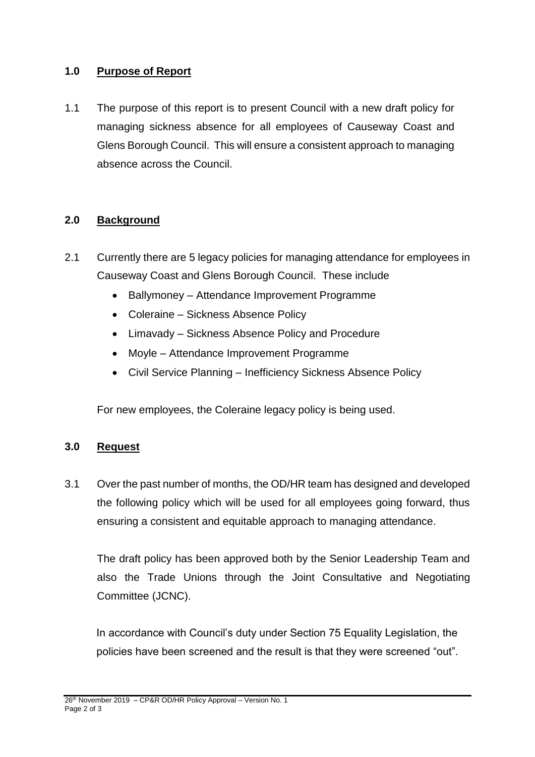### **1.0 Purpose of Report**

1.1 The purpose of this report is to present Council with a new draft policy for managing sickness absence for all employees of Causeway Coast and Glens Borough Council. This will ensure a consistent approach to managing absence across the Council.

### **2.0 Background**

- 2.1 Currently there are 5 legacy policies for managing attendance for employees in Causeway Coast and Glens Borough Council. These include
	- Ballymoney Attendance Improvement Programme
	- Coleraine Sickness Absence Policy
	- Limavady Sickness Absence Policy and Procedure
	- Moyle Attendance Improvement Programme
	- Civil Service Planning Inefficiency Sickness Absence Policy

For new employees, the Coleraine legacy policy is being used.

#### **3.0 Request**

3.1 Over the past number of months, the OD/HR team has designed and developed the following policy which will be used for all employees going forward, thus ensuring a consistent and equitable approach to managing attendance.

The draft policy has been approved both by the Senior Leadership Team and also the Trade Unions through the Joint Consultative and Negotiating Committee (JCNC).

In accordance with Council's duty under Section 75 Equality Legislation, the policies have been screened and the result is that they were screened "out".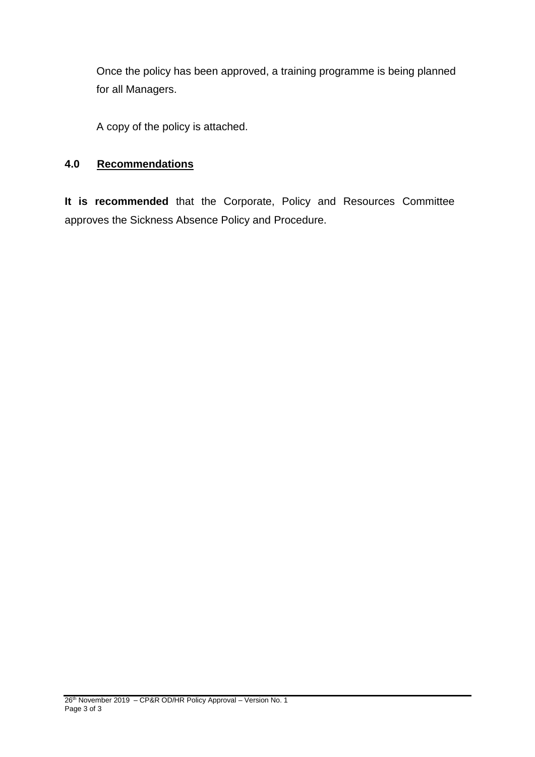Once the policy has been approved, a training programme is being planned for all Managers.

A copy of the policy is attached.

#### **4.0 Recommendations**

**It is recommended** that the Corporate, Policy and Resources Committee approves the Sickness Absence Policy and Procedure.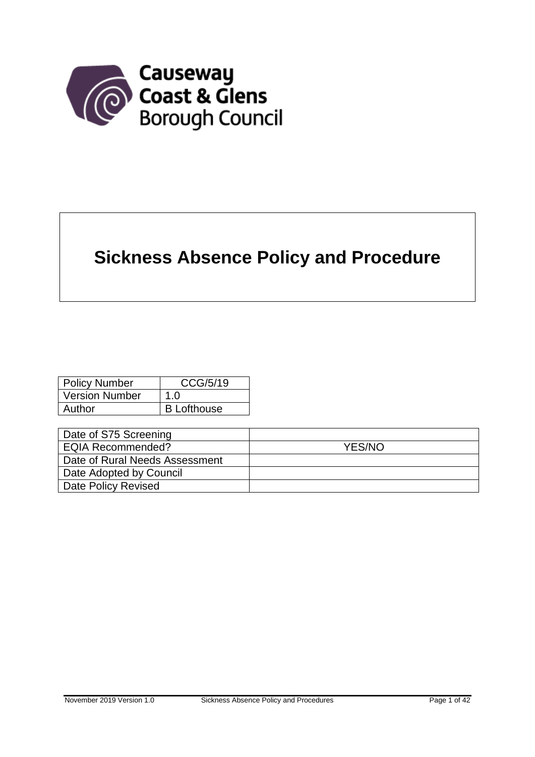

# **Sickness Absence Policy and Procedure**

| <b>Policy Number</b>  | CCG/5/19           |
|-----------------------|--------------------|
| <b>Version Number</b> | 1.0                |
| Author                | <b>B</b> Lofthouse |

| Date of S75 Screening          |        |
|--------------------------------|--------|
| <b>EQIA Recommended?</b>       | YES/NO |
| Date of Rural Needs Assessment |        |
| Date Adopted by Council        |        |
| Date Policy Revised            |        |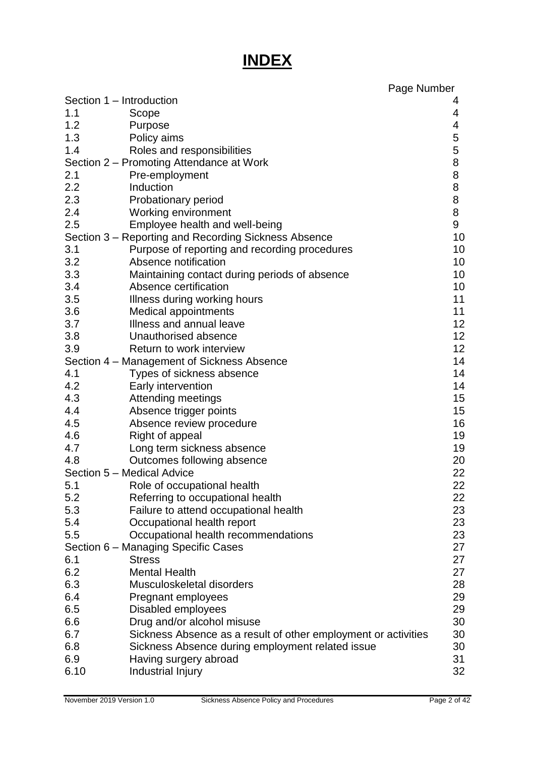## **INDEX**

|      |                                                                | Page Number |
|------|----------------------------------------------------------------|-------------|
|      | Section 1 - Introduction                                       | 4           |
| 1.1  | Scope                                                          | 4           |
| 1.2  | Purpose                                                        | 4           |
| 1.3  | Policy aims                                                    | 5           |
| 1.4  | Roles and responsibilities                                     | 5           |
|      | Section 2 - Promoting Attendance at Work                       | 8           |
| 2.1  | Pre-employment                                                 | 8           |
| 2.2  | Induction                                                      | 8           |
| 2.3  | Probationary period                                            | 8           |
| 2.4  | Working environment                                            | 8           |
| 2.5  | Employee health and well-being                                 | 9           |
|      | Section 3 – Reporting and Recording Sickness Absence           | 10          |
| 3.1  | Purpose of reporting and recording procedures                  | 10          |
| 3.2  | Absence notification                                           | 10          |
| 3.3  | Maintaining contact during periods of absence                  | 10          |
| 3.4  | Absence certification                                          | 10          |
| 3.5  | Illness during working hours                                   | 11          |
| 3.6  | <b>Medical appointments</b>                                    | 11          |
| 3.7  | Illness and annual leave                                       | 12          |
| 3.8  | Unauthorised absence                                           | 12          |
| 3.9  | Return to work interview                                       | 12          |
|      | Section 4 – Management of Sickness Absence                     | 14          |
| 4.1  | Types of sickness absence                                      | 14          |
| 4.2  | Early intervention                                             | 14          |
| 4.3  | <b>Attending meetings</b>                                      | 15          |
| 4.4  | Absence trigger points                                         | 15          |
| 4.5  | Absence review procedure                                       | 16          |
| 4.6  | Right of appeal                                                | 19          |
| 4.7  | Long term sickness absence                                     | 19          |
| 4.8  | Outcomes following absence                                     | 20          |
|      | Section 5 - Medical Advice                                     | 22          |
| 5.1  | Role of occupational health                                    | 22          |
| 5.2  | Referring to occupational health                               | 22          |
| 5.3  | Failure to attend occupational health                          | 23          |
| 5.4  | Occupational health report                                     | 23          |
| 5.5  | Occupational health recommendations                            | 23          |
|      | Section 6 - Managing Specific Cases                            | 27          |
| 6.1  | <b>Stress</b>                                                  | 27          |
| 6.2  | <b>Mental Health</b>                                           | 27          |
| 6.3  | Musculoskeletal disorders                                      | 28          |
| 6.4  | Pregnant employees                                             | 29          |
| 6.5  | Disabled employees                                             | 29          |
| 6.6  | Drug and/or alcohol misuse                                     | 30          |
| 6.7  | Sickness Absence as a result of other employment or activities | 30          |
| 6.8  | Sickness Absence during employment related issue               | 30          |
| 6.9  | Having surgery abroad                                          | 31          |
| 6.10 | Industrial Injury                                              | 32          |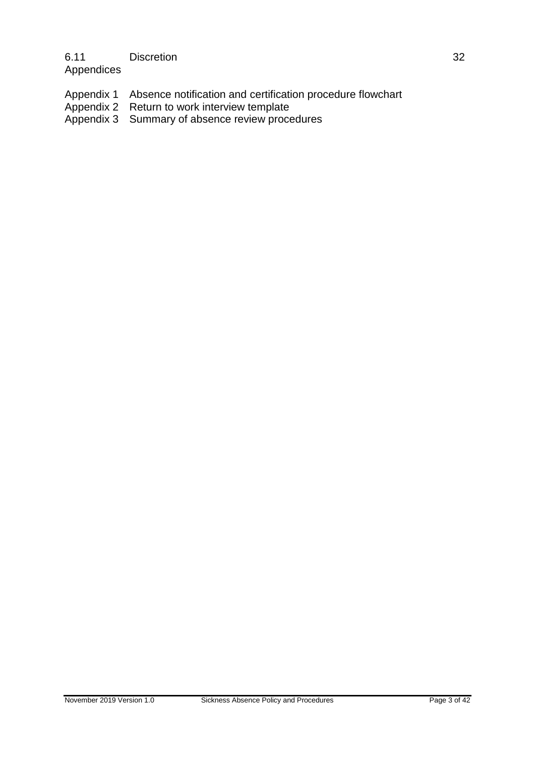#### 6.11 Discretion 32

Appendices

- Appendix 1 Absence notification and certification procedure flowchart
- Appendix 2 Return to work interview template
- Appendix 3 Summary of absence review procedures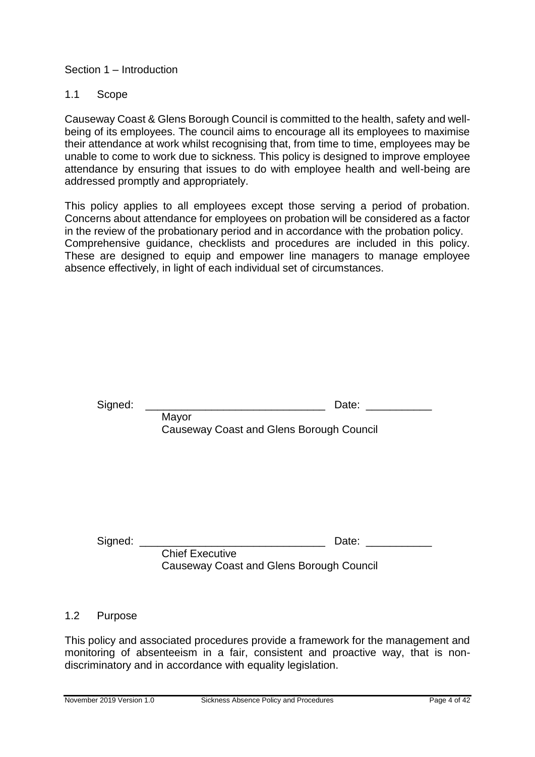#### Section 1 – Introduction

#### 1.1 Scope

Causeway Coast & Glens Borough Council is committed to the health, safety and wellbeing of its employees. The council aims to encourage all its employees to maximise their attendance at work whilst recognising that, from time to time, employees may be unable to come to work due to sickness. This policy is designed to improve employee attendance by ensuring that issues to do with employee health and well-being are addressed promptly and appropriately.

This policy applies to all employees except those serving a period of probation. Concerns about attendance for employees on probation will be considered as a factor in the review of the probationary period and in accordance with the probation policy. Comprehensive guidance, checklists and procedures are included in this policy. These are designed to equip and empower line managers to manage employee absence effectively, in light of each individual set of circumstances.

| Signed: | Date:                                                                       |
|---------|-----------------------------------------------------------------------------|
|         | Mayor<br><b>Causeway Coast and Glens Borough Council</b>                    |
|         |                                                                             |
| Signed: | Date:<br><b>Chief Executive</b><br>Causeway Coast and Glens Borough Council |

#### 1.2 Purpose

This policy and associated procedures provide a framework for the management and monitoring of absenteeism in a fair, consistent and proactive way, that is nondiscriminatory and in accordance with equality legislation.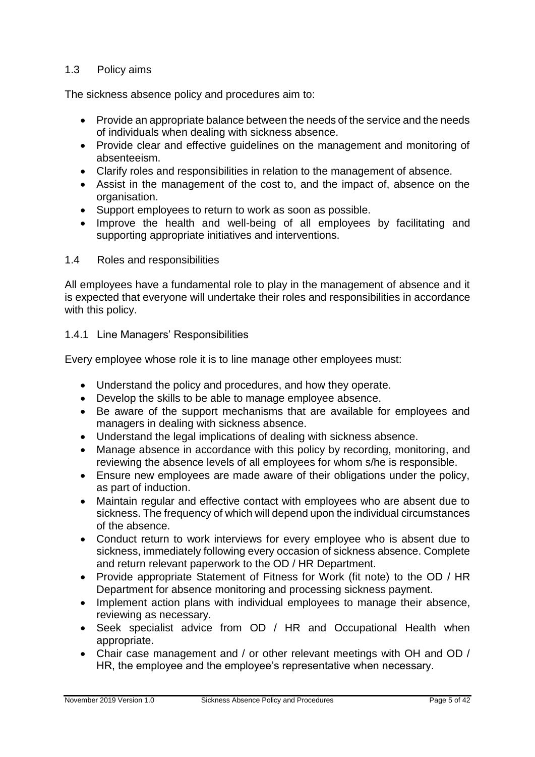#### 1.3 Policy aims

The sickness absence policy and procedures aim to:

- Provide an appropriate balance between the needs of the service and the needs of individuals when dealing with sickness absence.
- Provide clear and effective guidelines on the management and monitoring of absenteeism.
- Clarify roles and responsibilities in relation to the management of absence.
- Assist in the management of the cost to, and the impact of, absence on the organisation.
- Support employees to return to work as soon as possible.
- Improve the health and well-being of all employees by facilitating and supporting appropriate initiatives and interventions.

#### 1.4 Roles and responsibilities

All employees have a fundamental role to play in the management of absence and it is expected that everyone will undertake their roles and responsibilities in accordance with this policy.

#### 1.4.1 Line Managers' Responsibilities

Every employee whose role it is to line manage other employees must:

- Understand the policy and procedures, and how they operate.
- Develop the skills to be able to manage employee absence.
- Be aware of the support mechanisms that are available for employees and managers in dealing with sickness absence.
- Understand the legal implications of dealing with sickness absence.
- Manage absence in accordance with this policy by recording, monitoring, and reviewing the absence levels of all employees for whom s/he is responsible.
- Ensure new employees are made aware of their obligations under the policy, as part of induction.
- Maintain regular and effective contact with employees who are absent due to sickness. The frequency of which will depend upon the individual circumstances of the absence.
- Conduct return to work interviews for every employee who is absent due to sickness, immediately following every occasion of sickness absence. Complete and return relevant paperwork to the OD / HR Department.
- Provide appropriate Statement of Fitness for Work (fit note) to the OD / HR Department for absence monitoring and processing sickness payment.
- Implement action plans with individual employees to manage their absence, reviewing as necessary.
- Seek specialist advice from OD / HR and Occupational Health when appropriate.
- Chair case management and / or other relevant meetings with OH and OD / HR, the employee and the employee's representative when necessary.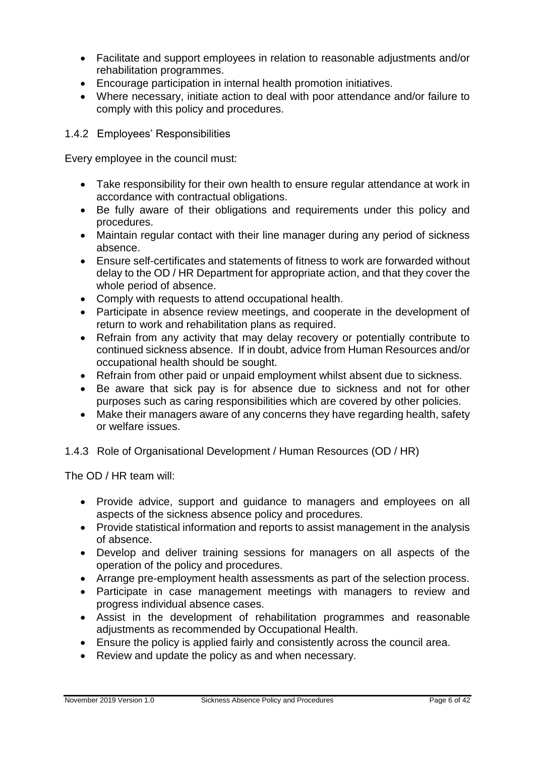- Facilitate and support employees in relation to reasonable adjustments and/or rehabilitation programmes.
- Encourage participation in internal health promotion initiatives.
- Where necessary, initiate action to deal with poor attendance and/or failure to comply with this policy and procedures.
- 1.4.2 Employees' Responsibilities

Every employee in the council must:

- Take responsibility for their own health to ensure regular attendance at work in accordance with contractual obligations.
- Be fully aware of their obligations and requirements under this policy and procedures.
- Maintain regular contact with their line manager during any period of sickness absence.
- Ensure self-certificates and statements of fitness to work are forwarded without delay to the OD / HR Department for appropriate action, and that they cover the whole period of absence.
- Comply with requests to attend occupational health.
- Participate in absence review meetings, and cooperate in the development of return to work and rehabilitation plans as required.
- Refrain from any activity that may delay recovery or potentially contribute to continued sickness absence. If in doubt, advice from Human Resources and/or occupational health should be sought.
- Refrain from other paid or unpaid employment whilst absent due to sickness.
- Be aware that sick pay is for absence due to sickness and not for other purposes such as caring responsibilities which are covered by other policies.
- Make their managers aware of any concerns they have regarding health, safety or welfare issues.

#### 1.4.3 Role of Organisational Development / Human Resources (OD / HR)

The OD / HR team will:

- Provide advice, support and guidance to managers and employees on all aspects of the sickness absence policy and procedures.
- Provide statistical information and reports to assist management in the analysis of absence.
- Develop and deliver training sessions for managers on all aspects of the operation of the policy and procedures.
- Arrange pre-employment health assessments as part of the selection process.
- Participate in case management meetings with managers to review and progress individual absence cases.
- Assist in the development of rehabilitation programmes and reasonable adjustments as recommended by Occupational Health.
- Ensure the policy is applied fairly and consistently across the council area.
- Review and update the policy as and when necessary.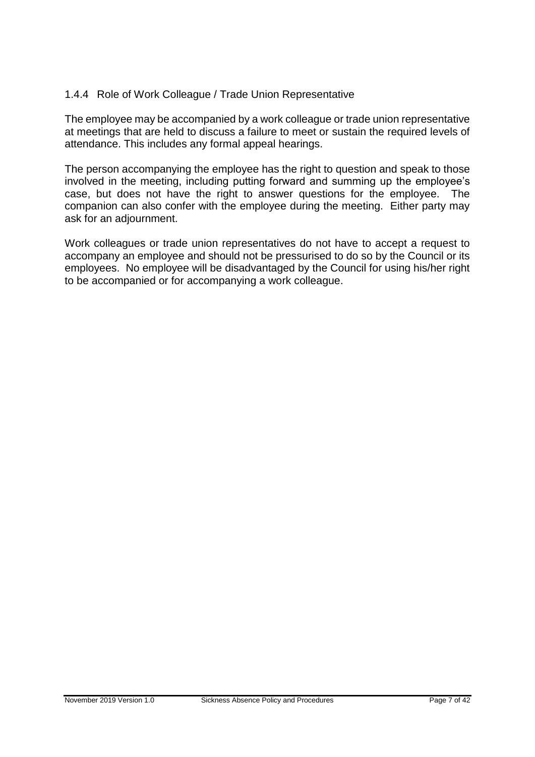#### 1.4.4 Role of Work Colleague / Trade Union Representative

The employee may be accompanied by a work colleague or trade union representative at meetings that are held to discuss a failure to meet or sustain the required levels of attendance. This includes any formal appeal hearings.

The person accompanying the employee has the right to question and speak to those involved in the meeting, including putting forward and summing up the employee's case, but does not have the right to answer questions for the employee. The companion can also confer with the employee during the meeting. Either party may ask for an adjournment.

Work colleagues or trade union representatives do not have to accept a request to accompany an employee and should not be pressurised to do so by the Council or its employees. No employee will be disadvantaged by the Council for using his/her right to be accompanied or for accompanying a work colleague.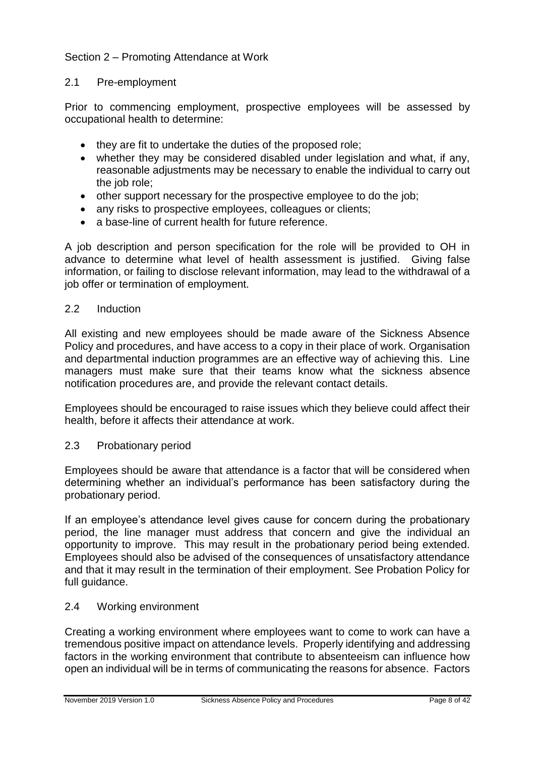#### Section 2 – Promoting Attendance at Work

#### 2.1 Pre-employment

Prior to commencing employment, prospective employees will be assessed by occupational health to determine:

- they are fit to undertake the duties of the proposed role;
- whether they may be considered disabled under legislation and what, if any, reasonable adjustments may be necessary to enable the individual to carry out the job role;
- other support necessary for the prospective employee to do the job;
- any risks to prospective employees, colleagues or clients;
- a base-line of current health for future reference.

A job description and person specification for the role will be provided to OH in advance to determine what level of health assessment is justified. Giving false information, or failing to disclose relevant information, may lead to the withdrawal of a job offer or termination of employment.

#### 2.2 Induction

All existing and new employees should be made aware of the Sickness Absence Policy and procedures, and have access to a copy in their place of work. Organisation and departmental induction programmes are an effective way of achieving this. Line managers must make sure that their teams know what the sickness absence notification procedures are, and provide the relevant contact details.

Employees should be encouraged to raise issues which they believe could affect their health, before it affects their attendance at work.

#### 2.3 Probationary period

Employees should be aware that attendance is a factor that will be considered when determining whether an individual's performance has been satisfactory during the probationary period.

If an employee's attendance level gives cause for concern during the probationary period, the line manager must address that concern and give the individual an opportunity to improve. This may result in the probationary period being extended. Employees should also be advised of the consequences of unsatisfactory attendance and that it may result in the termination of their employment. See Probation Policy for full guidance.

#### 2.4 Working environment

Creating a working environment where employees want to come to work can have a tremendous positive impact on attendance levels. Properly identifying and addressing factors in the working environment that contribute to absenteeism can influence how open an individual will be in terms of communicating the reasons for absence. Factors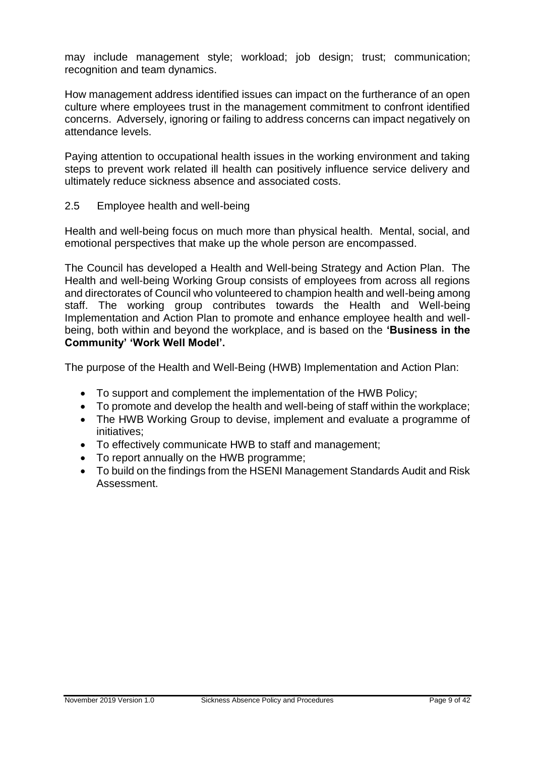may include management style; workload; job design; trust; communication; recognition and team dynamics.

How management address identified issues can impact on the furtherance of an open culture where employees trust in the management commitment to confront identified concerns. Adversely, ignoring or failing to address concerns can impact negatively on attendance levels.

Paying attention to occupational health issues in the working environment and taking steps to prevent work related ill health can positively influence service delivery and ultimately reduce sickness absence and associated costs.

2.5 Employee health and well-being

Health and well-being focus on much more than physical health. Mental, social, and emotional perspectives that make up the whole person are encompassed.

The Council has developed a Health and Well-being Strategy and Action Plan. The Health and well-being Working Group consists of employees from across all regions and directorates of Council who volunteered to champion health and well-being among staff. The working group contributes towards the Health and Well-being Implementation and Action Plan to promote and enhance employee health and wellbeing, both within and beyond the workplace, and is based on the **'Business in the Community' 'Work Well Model'.**

The purpose of the Health and Well-Being (HWB) Implementation and Action Plan:

- To support and complement the implementation of the HWB Policy;
- To promote and develop the health and well-being of staff within the workplace;
- The HWB Working Group to devise, implement and evaluate a programme of initiatives;
- To effectively communicate HWB to staff and management;
- To report annually on the HWB programme;
- To build on the findings from the HSENI Management Standards Audit and Risk Assessment.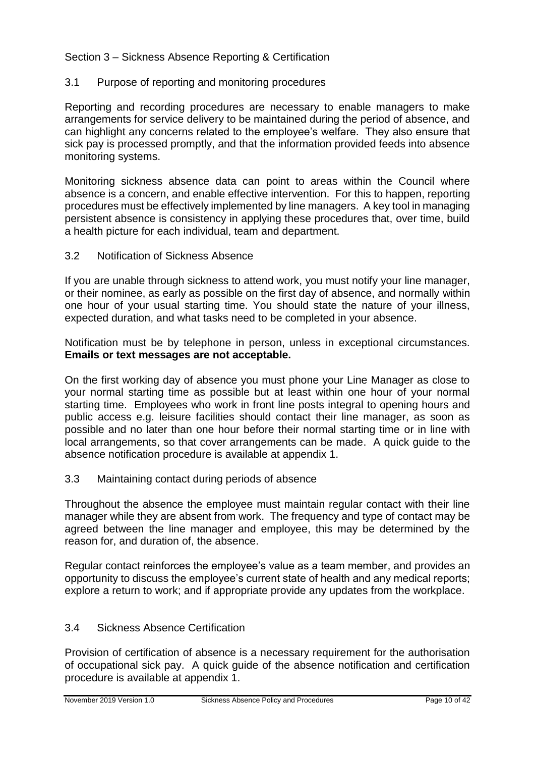#### Section 3 – Sickness Absence Reporting & Certification

#### 3.1 Purpose of reporting and monitoring procedures

Reporting and recording procedures are necessary to enable managers to make arrangements for service delivery to be maintained during the period of absence, and can highlight any concerns related to the employee's welfare. They also ensure that sick pay is processed promptly, and that the information provided feeds into absence monitoring systems.

Monitoring sickness absence data can point to areas within the Council where absence is a concern, and enable effective intervention. For this to happen, reporting procedures must be effectively implemented by line managers. A key tool in managing persistent absence is consistency in applying these procedures that, over time, build a health picture for each individual, team and department.

#### 3.2 Notification of Sickness Absence

If you are unable through sickness to attend work, you must notify your line manager, or their nominee, as early as possible on the first day of absence, and normally within one hour of your usual starting time. You should state the nature of your illness, expected duration, and what tasks need to be completed in your absence.

Notification must be by telephone in person, unless in exceptional circumstances. **Emails or text messages are not acceptable.** 

On the first working day of absence you must phone your Line Manager as close to your normal starting time as possible but at least within one hour of your normal starting time. Employees who work in front line posts integral to opening hours and public access e.g. leisure facilities should contact their line manager, as soon as possible and no later than one hour before their normal starting time or in line with local arrangements, so that cover arrangements can be made. A quick guide to the absence notification procedure is available at appendix 1.

#### 3.3 Maintaining contact during periods of absence

Throughout the absence the employee must maintain regular contact with their line manager while they are absent from work. The frequency and type of contact may be agreed between the line manager and employee, this may be determined by the reason for, and duration of, the absence.

Regular contact reinforces the employee's value as a team member, and provides an opportunity to discuss the employee's current state of health and any medical reports; explore a return to work; and if appropriate provide any updates from the workplace.

#### 3.4 Sickness Absence Certification

Provision of certification of absence is a necessary requirement for the authorisation of occupational sick pay. A quick guide of the absence notification and certification procedure is available at appendix 1.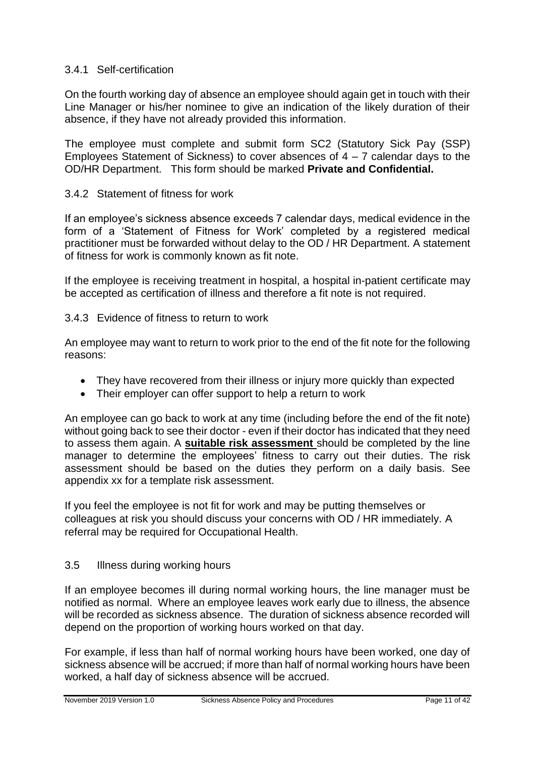#### 3.4.1 Self-certification

On the fourth working day of absence an employee should again get in touch with their Line Manager or his/her nominee to give an indication of the likely duration of their absence, if they have not already provided this information.

The employee must complete and submit form SC2 (Statutory Sick Pay (SSP) Employees Statement of Sickness) to cover absences of  $4 - 7$  calendar days to the OD/HR Department. This form should be marked **Private and Confidential.**

#### 3.4.2 Statement of fitness for work

If an employee's sickness absence exceeds 7 calendar days, medical evidence in the form of a 'Statement of Fitness for Work' completed by a registered medical practitioner must be forwarded without delay to the OD / HR Department. A statement of fitness for work is commonly known as fit note.

If the employee is receiving treatment in hospital, a hospital in-patient certificate may be accepted as certification of illness and therefore a fit note is not required.

3.4.3 Evidence of fitness to return to work

An employee may want to return to work prior to the end of the fit note for the following reasons:

- They have recovered from their illness or injury more quickly than expected
- Their employer can offer support to help a return to work

An employee can go back to work at any time (including before the end of the fit note) without going back to see their doctor - even if their doctor has indicated that they need to assess them again. A **suitable risk assessment** should be completed by the line manager to determine the employees' fitness to carry out their duties. The risk assessment should be based on the duties they perform on a daily basis. See appendix xx for a template risk assessment.

If you feel the employee is not fit for work and may be putting themselves or colleagues at risk you should discuss your concerns with OD / HR immediately. A referral may be required for Occupational Health.

#### 3.5 Illness during working hours

If an employee becomes ill during normal working hours, the line manager must be notified as normal. Where an employee leaves work early due to illness, the absence will be recorded as sickness absence. The duration of sickness absence recorded will depend on the proportion of working hours worked on that day.

For example, if less than half of normal working hours have been worked, one day of sickness absence will be accrued; if more than half of normal working hours have been worked, a half day of sickness absence will be accrued.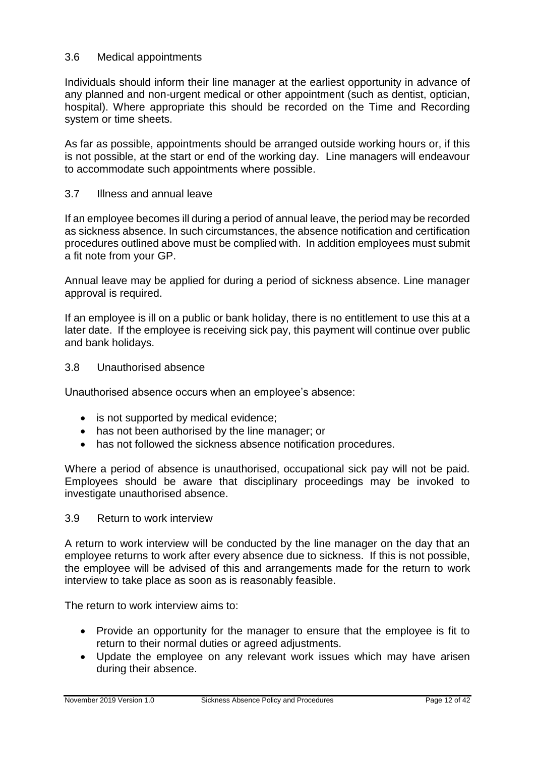#### 3.6 Medical appointments

Individuals should inform their line manager at the earliest opportunity in advance of any planned and non-urgent medical or other appointment (such as dentist, optician, hospital). Where appropriate this should be recorded on the Time and Recording system or time sheets.

As far as possible, appointments should be arranged outside working hours or, if this is not possible, at the start or end of the working day. Line managers will endeavour to accommodate such appointments where possible.

#### 3.7 Illness and annual leave

If an employee becomes ill during a period of annual leave, the period may be recorded as sickness absence. In such circumstances, the absence notification and certification procedures outlined above must be complied with. In addition employees must submit a fit note from your GP.

Annual leave may be applied for during a period of sickness absence. Line manager approval is required.

If an employee is ill on a public or bank holiday, there is no entitlement to use this at a later date. If the employee is receiving sick pay, this payment will continue over public and bank holidays.

#### 3.8 Unauthorised absence

Unauthorised absence occurs when an employee's absence:

- is not supported by medical evidence;
- has not been authorised by the line manager; or
- has not followed the sickness absence notification procedures.

Where a period of absence is unauthorised, occupational sick pay will not be paid. Employees should be aware that disciplinary proceedings may be invoked to investigate unauthorised absence.

#### 3.9 Return to work interview

A return to work interview will be conducted by the line manager on the day that an employee returns to work after every absence due to sickness. If this is not possible, the employee will be advised of this and arrangements made for the return to work interview to take place as soon as is reasonably feasible.

The return to work interview aims to:

- Provide an opportunity for the manager to ensure that the employee is fit to return to their normal duties or agreed adjustments.
- Update the employee on any relevant work issues which may have arisen during their absence.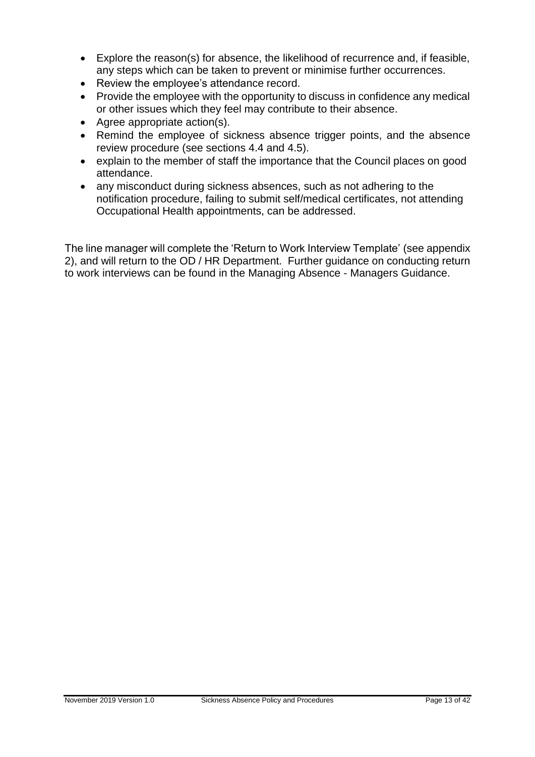- Explore the reason(s) for absence, the likelihood of recurrence and, if feasible, any steps which can be taken to prevent or minimise further occurrences.
- Review the employee's attendance record.
- Provide the employee with the opportunity to discuss in confidence any medical or other issues which they feel may contribute to their absence.
- Agree appropriate action(s).
- Remind the employee of sickness absence trigger points, and the absence review procedure (see sections 4.4 and 4.5).
- explain to the member of staff the importance that the Council places on good attendance.
- any misconduct during sickness absences, such as not adhering to the notification procedure, failing to submit self/medical certificates, not attending Occupational Health appointments, can be addressed.

The line manager will complete the 'Return to Work Interview Template' (see appendix 2), and will return to the OD / HR Department. Further guidance on conducting return to work interviews can be found in the Managing Absence - Managers Guidance.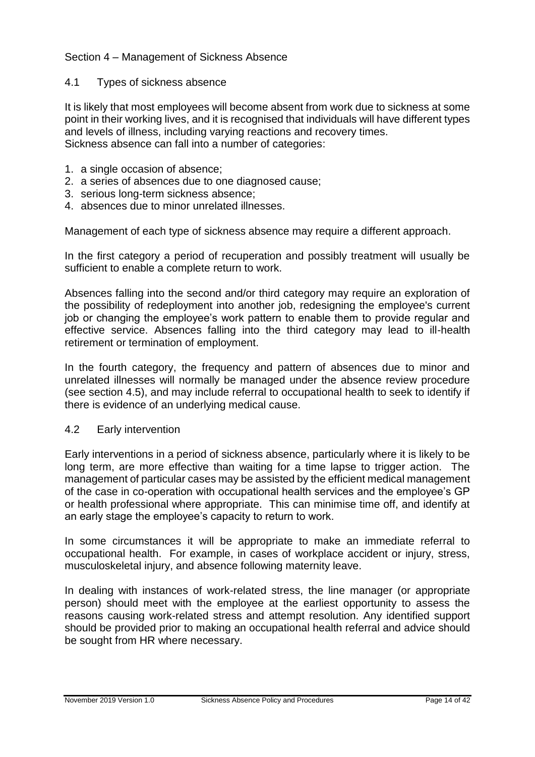#### Section 4 – Management of Sickness Absence

#### 4.1 Types of sickness absence

It is likely that most employees will become absent from work due to sickness at some point in their working lives, and it is recognised that individuals will have different types and levels of illness, including varying reactions and recovery times. Sickness absence can fall into a number of categories:

- 1. a single occasion of absence;
- 2. a series of absences due to one diagnosed cause;
- 3. serious long-term sickness absence;
- 4. absences due to minor unrelated illnesses.

Management of each type of sickness absence may require a different approach.

In the first category a period of recuperation and possibly treatment will usually be sufficient to enable a complete return to work.

Absences falling into the second and/or third category may require an exploration of the possibility of redeployment into another job, redesigning the employee's current job or changing the employee's work pattern to enable them to provide regular and effective service. Absences falling into the third category may lead to ill-health retirement or termination of employment.

In the fourth category, the frequency and pattern of absences due to minor and unrelated illnesses will normally be managed under the absence review procedure (see section 4.5), and may include referral to occupational health to seek to identify if there is evidence of an underlying medical cause.

#### 4.2 Early intervention

Early interventions in a period of sickness absence, particularly where it is likely to be long term, are more effective than waiting for a time lapse to trigger action. The management of particular cases may be assisted by the efficient medical management of the case in co-operation with occupational health services and the employee's GP or health professional where appropriate. This can minimise time off, and identify at an early stage the employee's capacity to return to work.

In some circumstances it will be appropriate to make an immediate referral to occupational health. For example, in cases of workplace accident or injury, stress, musculoskeletal injury, and absence following maternity leave.

In dealing with instances of work-related stress, the line manager (or appropriate person) should meet with the employee at the earliest opportunity to assess the reasons causing work-related stress and attempt resolution. Any identified support should be provided prior to making an occupational health referral and advice should be sought from HR where necessary.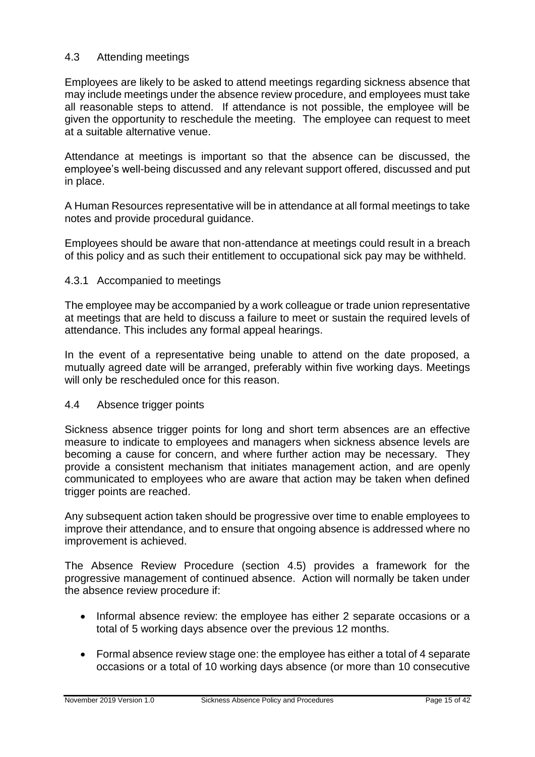#### 4.3 Attending meetings

Employees are likely to be asked to attend meetings regarding sickness absence that may include meetings under the absence review procedure, and employees must take all reasonable steps to attend. If attendance is not possible, the employee will be given the opportunity to reschedule the meeting. The employee can request to meet at a suitable alternative venue.

Attendance at meetings is important so that the absence can be discussed, the employee's well-being discussed and any relevant support offered, discussed and put in place.

A Human Resources representative will be in attendance at all formal meetings to take notes and provide procedural guidance.

Employees should be aware that non-attendance at meetings could result in a breach of this policy and as such their entitlement to occupational sick pay may be withheld.

#### 4.3.1 Accompanied to meetings

The employee may be accompanied by a work colleague or trade union representative at meetings that are held to discuss a failure to meet or sustain the required levels of attendance. This includes any formal appeal hearings.

In the event of a representative being unable to attend on the date proposed, a mutually agreed date will be arranged, preferably within five working days. Meetings will only be rescheduled once for this reason.

#### 4.4 Absence trigger points

Sickness absence trigger points for long and short term absences are an effective measure to indicate to employees and managers when sickness absence levels are becoming a cause for concern, and where further action may be necessary. They provide a consistent mechanism that initiates management action, and are openly communicated to employees who are aware that action may be taken when defined trigger points are reached.

Any subsequent action taken should be progressive over time to enable employees to improve their attendance, and to ensure that ongoing absence is addressed where no improvement is achieved.

The Absence Review Procedure (section 4.5) provides a framework for the progressive management of continued absence. Action will normally be taken under the absence review procedure if:

- Informal absence review: the employee has either 2 separate occasions or a total of 5 working days absence over the previous 12 months.
- Formal absence review stage one: the employee has either a total of 4 separate occasions or a total of 10 working days absence (or more than 10 consecutive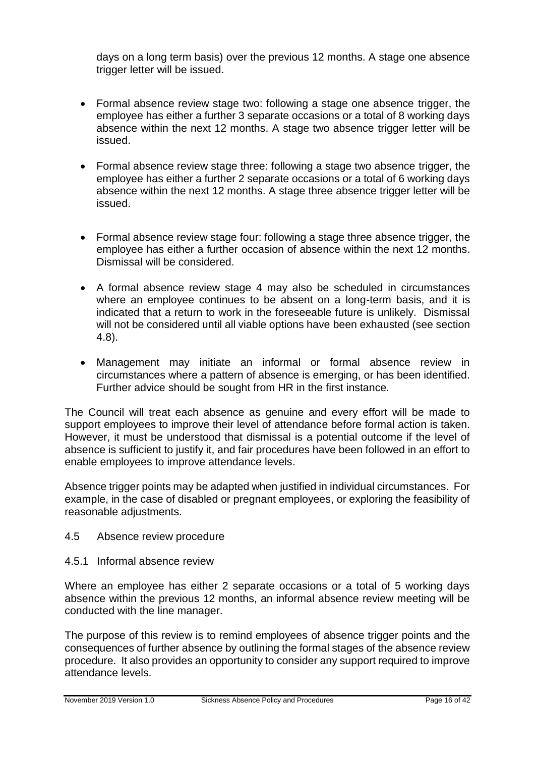days on a long term basis) over the previous 12 months. A stage one absence trigger letter will be issued.

- Formal absence review stage two: following a stage one absence trigger, the employee has either a further 3 separate occasions or a total of 8 working days absence within the next 12 months. A stage two absence trigger letter will be issued.
- Formal absence review stage three: following a stage two absence trigger, the employee has either a further 2 separate occasions or a total of 6 working days absence within the next 12 months. A stage three absence trigger letter will be issued.
- Formal absence review stage four: following a stage three absence trigger, the employee has either a further occasion of absence within the next 12 months. Dismissal will be considered.
- A formal absence review stage 4 may also be scheduled in circumstances where an employee continues to be absent on a long-term basis, and it is indicated that a return to work in the foreseeable future is unlikely. Dismissal will not be considered until all viable options have been exhausted (see section 4.8).
- Management may initiate an informal or formal absence review in circumstances where a pattern of absence is emerging, or has been identified. Further advice should be sought from HR in the first instance.

The Council will treat each absence as genuine and every effort will be made to support employees to improve their level of attendance before formal action is taken. However, it must be understood that dismissal is a potential outcome if the level of absence is sufficient to justify it, and fair procedures have been followed in an effort to enable employees to improve attendance levels.

Absence trigger points may be adapted when justified in individual circumstances. For example, in the case of disabled or pregnant employees, or exploring the feasibility of reasonable adjustments.

#### 4.5 Absence review procedure

#### 4.5.1 Informal absence review

Where an employee has either 2 separate occasions or a total of 5 working days absence within the previous 12 months, an informal absence review meeting will be conducted with the line manager.

The purpose of this review is to remind employees of absence trigger points and the consequences of further absence by outlining the formal stages of the absence review procedure. It also provides an opportunity to consider any support required to improve attendance levels.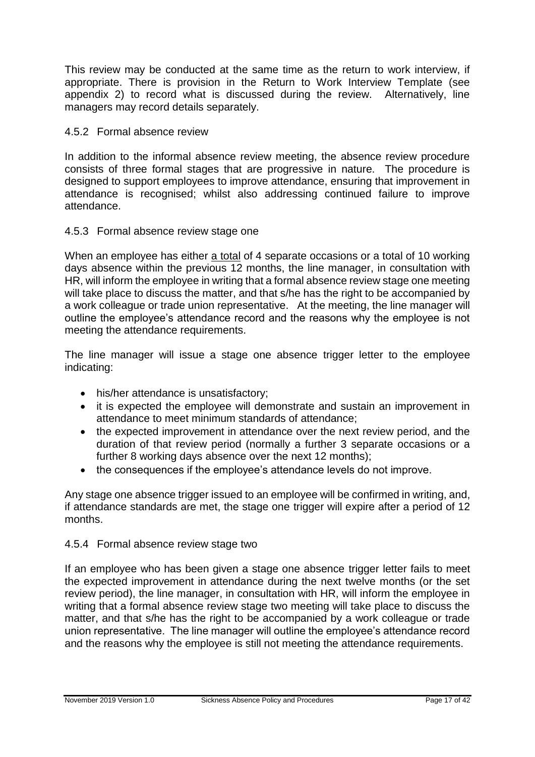This review may be conducted at the same time as the return to work interview, if appropriate. There is provision in the Return to Work Interview Template (see appendix 2) to record what is discussed during the review. Alternatively, line managers may record details separately.

#### 4.5.2 Formal absence review

In addition to the informal absence review meeting, the absence review procedure consists of three formal stages that are progressive in nature. The procedure is designed to support employees to improve attendance, ensuring that improvement in attendance is recognised; whilst also addressing continued failure to improve attendance.

#### 4.5.3 Formal absence review stage one

When an employee has either a total of 4 separate occasions or a total of 10 working days absence within the previous 12 months, the line manager, in consultation with HR, will inform the employee in writing that a formal absence review stage one meeting will take place to discuss the matter, and that s/he has the right to be accompanied by a work colleague or trade union representative. At the meeting, the line manager will outline the employee's attendance record and the reasons why the employee is not meeting the attendance requirements.

The line manager will issue a stage one absence trigger letter to the employee indicating:

- his/her attendance is unsatisfactory;
- it is expected the employee will demonstrate and sustain an improvement in attendance to meet minimum standards of attendance;
- the expected improvement in attendance over the next review period, and the duration of that review period (normally a further 3 separate occasions or a further 8 working days absence over the next 12 months);
- the consequences if the employee's attendance levels do not improve.

Any stage one absence trigger issued to an employee will be confirmed in writing, and, if attendance standards are met, the stage one trigger will expire after a period of 12 months.

#### 4.5.4 Formal absence review stage two

If an employee who has been given a stage one absence trigger letter fails to meet the expected improvement in attendance during the next twelve months (or the set review period), the line manager, in consultation with HR, will inform the employee in writing that a formal absence review stage two meeting will take place to discuss the matter, and that s/he has the right to be accompanied by a work colleague or trade union representative. The line manager will outline the employee's attendance record and the reasons why the employee is still not meeting the attendance requirements.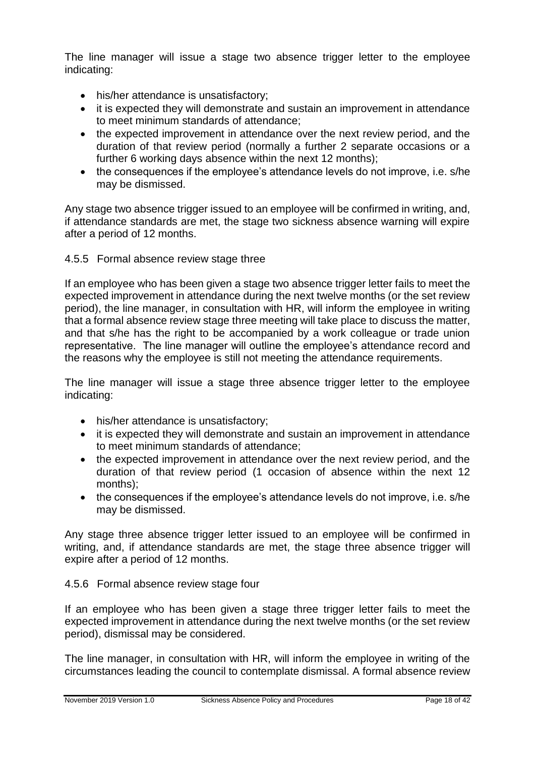The line manager will issue a stage two absence trigger letter to the employee indicating:

- his/her attendance is unsatisfactory;
- it is expected they will demonstrate and sustain an improvement in attendance to meet minimum standards of attendance;
- the expected improvement in attendance over the next review period, and the duration of that review period (normally a further 2 separate occasions or a further 6 working days absence within the next 12 months);
- the consequences if the employee's attendance levels do not improve, i.e. s/he may be dismissed.

Any stage two absence trigger issued to an employee will be confirmed in writing, and, if attendance standards are met, the stage two sickness absence warning will expire after a period of 12 months.

#### 4.5.5 Formal absence review stage three

If an employee who has been given a stage two absence trigger letter fails to meet the expected improvement in attendance during the next twelve months (or the set review period), the line manager, in consultation with HR, will inform the employee in writing that a formal absence review stage three meeting will take place to discuss the matter, and that s/he has the right to be accompanied by a work colleague or trade union representative. The line manager will outline the employee's attendance record and the reasons why the employee is still not meeting the attendance requirements.

The line manager will issue a stage three absence trigger letter to the employee indicating:

- his/her attendance is unsatisfactory;
- it is expected they will demonstrate and sustain an improvement in attendance to meet minimum standards of attendance;
- the expected improvement in attendance over the next review period, and the duration of that review period (1 occasion of absence within the next 12 months);
- the consequences if the employee's attendance levels do not improve, i.e. s/he may be dismissed.

Any stage three absence trigger letter issued to an employee will be confirmed in writing, and, if attendance standards are met, the stage three absence trigger will expire after a period of 12 months.

#### 4.5.6 Formal absence review stage four

If an employee who has been given a stage three trigger letter fails to meet the expected improvement in attendance during the next twelve months (or the set review period), dismissal may be considered.

The line manager, in consultation with HR, will inform the employee in writing of the circumstances leading the council to contemplate dismissal. A formal absence review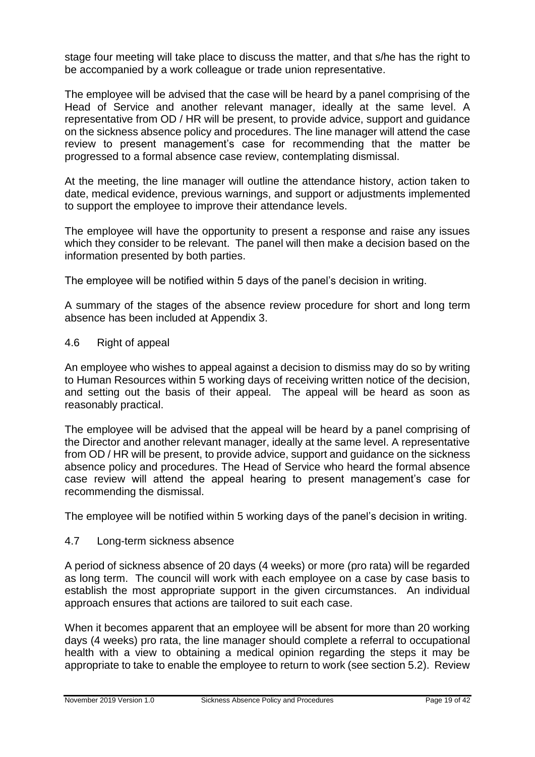stage four meeting will take place to discuss the matter, and that s/he has the right to be accompanied by a work colleague or trade union representative.

The employee will be advised that the case will be heard by a panel comprising of the Head of Service and another relevant manager, ideally at the same level. A representative from OD / HR will be present, to provide advice, support and guidance on the sickness absence policy and procedures. The line manager will attend the case review to present management's case for recommending that the matter be progressed to a formal absence case review, contemplating dismissal.

At the meeting, the line manager will outline the attendance history, action taken to date, medical evidence, previous warnings, and support or adjustments implemented to support the employee to improve their attendance levels.

The employee will have the opportunity to present a response and raise any issues which they consider to be relevant. The panel will then make a decision based on the information presented by both parties.

The employee will be notified within 5 days of the panel's decision in writing.

A summary of the stages of the absence review procedure for short and long term absence has been included at Appendix 3.

#### 4.6 Right of appeal

An employee who wishes to appeal against a decision to dismiss may do so by writing to Human Resources within 5 working days of receiving written notice of the decision, and setting out the basis of their appeal. The appeal will be heard as soon as reasonably practical.

The employee will be advised that the appeal will be heard by a panel comprising of the Director and another relevant manager, ideally at the same level. A representative from OD / HR will be present, to provide advice, support and guidance on the sickness absence policy and procedures. The Head of Service who heard the formal absence case review will attend the appeal hearing to present management's case for recommending the dismissal.

The employee will be notified within 5 working days of the panel's decision in writing.

#### 4.7 Long-term sickness absence

A period of sickness absence of 20 days (4 weeks) or more (pro rata) will be regarded as long term. The council will work with each employee on a case by case basis to establish the most appropriate support in the given circumstances. An individual approach ensures that actions are tailored to suit each case.

When it becomes apparent that an employee will be absent for more than 20 working days (4 weeks) pro rata, the line manager should complete a referral to occupational health with a view to obtaining a medical opinion regarding the steps it may be appropriate to take to enable the employee to return to work (see section 5.2). Review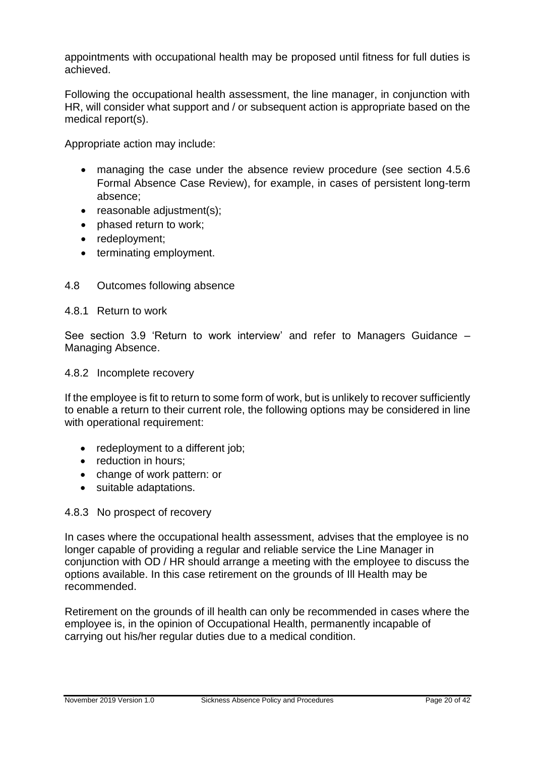appointments with occupational health may be proposed until fitness for full duties is achieved.

Following the occupational health assessment, the line manager, in conjunction with HR, will consider what support and / or subsequent action is appropriate based on the medical report(s).

Appropriate action may include:

- managing the case under the absence review procedure (see section 4.5.6) Formal Absence Case Review), for example, in cases of persistent long-term absence;
- reasonable adjustment(s);
- phased return to work;
- redeployment;
- terminating employment.
- 4.8 Outcomes following absence

#### 4.8.1 Return to work

See section 3.9 'Return to work interview' and refer to Managers Guidance – Managing Absence.

#### 4.8.2 Incomplete recovery

If the employee is fit to return to some form of work, but is unlikely to recover sufficiently to enable a return to their current role, the following options may be considered in line with operational requirement:

- redeployment to a different job;
- reduction in hours:
- change of work pattern: or
- suitable adaptations.

#### 4.8.3 No prospect of recovery

In cases where the occupational health assessment, advises that the employee is no longer capable of providing a regular and reliable service the Line Manager in conjunction with OD / HR should arrange a meeting with the employee to discuss the options available. In this case retirement on the grounds of Ill Health may be recommended.

Retirement on the grounds of ill health can only be recommended in cases where the employee is, in the opinion of Occupational Health, permanently incapable of carrying out his/her regular duties due to a medical condition.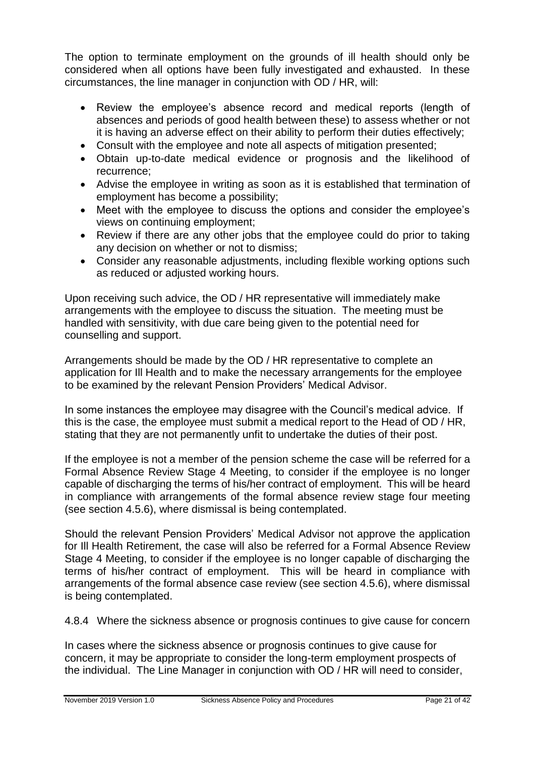The option to terminate employment on the grounds of ill health should only be considered when all options have been fully investigated and exhausted. In these circumstances, the line manager in conjunction with OD / HR, will:

- Review the employee's absence record and medical reports (length of absences and periods of good health between these) to assess whether or not it is having an adverse effect on their ability to perform their duties effectively;
- Consult with the employee and note all aspects of mitigation presented;
- Obtain up-to-date medical evidence or prognosis and the likelihood of recurrence;
- Advise the employee in writing as soon as it is established that termination of employment has become a possibility;
- Meet with the employee to discuss the options and consider the employee's views on continuing employment;
- Review if there are any other jobs that the employee could do prior to taking any decision on whether or not to dismiss;
- Consider any reasonable adjustments, including flexible working options such as reduced or adjusted working hours.

Upon receiving such advice, the OD / HR representative will immediately make arrangements with the employee to discuss the situation. The meeting must be handled with sensitivity, with due care being given to the potential need for counselling and support.

Arrangements should be made by the OD / HR representative to complete an application for Ill Health and to make the necessary arrangements for the employee to be examined by the relevant Pension Providers' Medical Advisor.

In some instances the employee may disagree with the Council's medical advice. If this is the case, the employee must submit a medical report to the Head of OD / HR, stating that they are not permanently unfit to undertake the duties of their post.

If the employee is not a member of the pension scheme the case will be referred for a Formal Absence Review Stage 4 Meeting, to consider if the employee is no longer capable of discharging the terms of his/her contract of employment. This will be heard in compliance with arrangements of the formal absence review stage four meeting (see section 4.5.6), where dismissal is being contemplated.

Should the relevant Pension Providers' Medical Advisor not approve the application for Ill Health Retirement, the case will also be referred for a Formal Absence Review Stage 4 Meeting, to consider if the employee is no longer capable of discharging the terms of his/her contract of employment. This will be heard in compliance with arrangements of the formal absence case review (see section 4.5.6), where dismissal is being contemplated.

4.8.4 Where the sickness absence or prognosis continues to give cause for concern

In cases where the sickness absence or prognosis continues to give cause for concern, it may be appropriate to consider the long-term employment prospects of the individual. The Line Manager in conjunction with OD / HR will need to consider,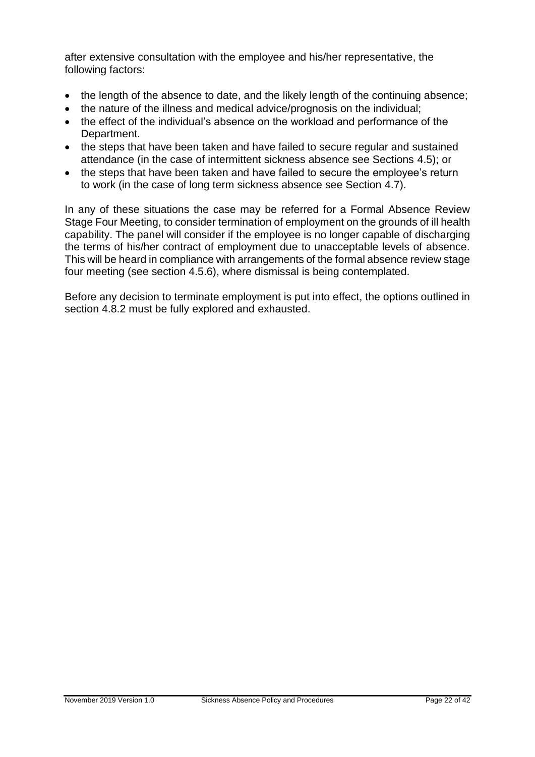after extensive consultation with the employee and his/her representative, the following factors:

- the length of the absence to date, and the likely length of the continuing absence;
- the nature of the illness and medical advice/prognosis on the individual;
- the effect of the individual's absence on the workload and performance of the Department.
- the steps that have been taken and have failed to secure regular and sustained attendance (in the case of intermittent sickness absence see Sections 4.5); or
- the steps that have been taken and have failed to secure the employee's return to work (in the case of long term sickness absence see Section 4.7).

In any of these situations the case may be referred for a Formal Absence Review Stage Four Meeting, to consider termination of employment on the grounds of ill health capability. The panel will consider if the employee is no longer capable of discharging the terms of his/her contract of employment due to unacceptable levels of absence. This will be heard in compliance with arrangements of the formal absence review stage four meeting (see section 4.5.6), where dismissal is being contemplated.

Before any decision to terminate employment is put into effect, the options outlined in section 4.8.2 must be fully explored and exhausted.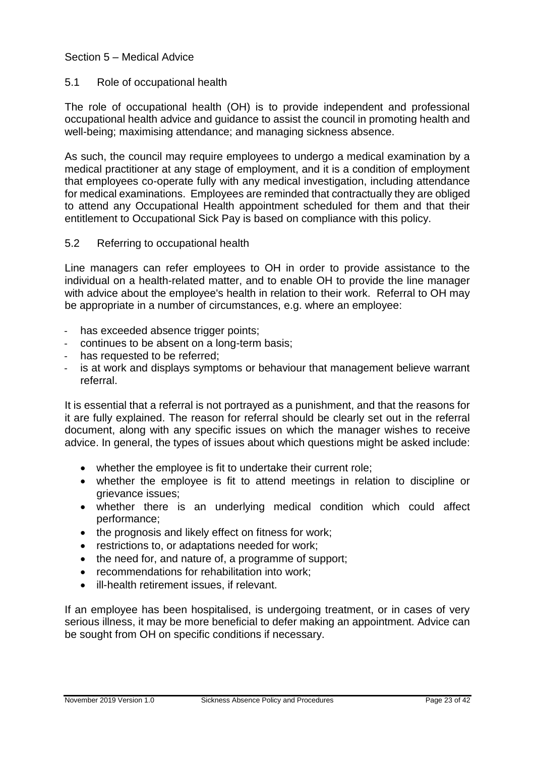#### Section 5 – Medical Advice

#### 5.1 Role of occupational health

The role of occupational health (OH) is to provide independent and professional occupational health advice and guidance to assist the council in promoting health and well-being; maximising attendance; and managing sickness absence.

As such, the council may require employees to undergo a medical examination by a medical practitioner at any stage of employment, and it is a condition of employment that employees co-operate fully with any medical investigation, including attendance for medical examinations. Employees are reminded that contractually they are obliged to attend any Occupational Health appointment scheduled for them and that their entitlement to Occupational Sick Pay is based on compliance with this policy.

#### 5.2 Referring to occupational health

Line managers can refer employees to OH in order to provide assistance to the individual on a health-related matter, and to enable OH to provide the line manager with advice about the employee's health in relation to their work. Referral to OH may be appropriate in a number of circumstances, e.g. where an employee:

- has exceeded absence trigger points;
- continues to be absent on a long-term basis;
- has requested to be referred;
- is at work and displays symptoms or behaviour that management believe warrant referral.

It is essential that a referral is not portrayed as a punishment, and that the reasons for it are fully explained. The reason for referral should be clearly set out in the referral document, along with any specific issues on which the manager wishes to receive advice. In general, the types of issues about which questions might be asked include:

- whether the employee is fit to undertake their current role;
- whether the employee is fit to attend meetings in relation to discipline or grievance issues;
- whether there is an underlying medical condition which could affect performance;
- the prognosis and likely effect on fitness for work;
- restrictions to, or adaptations needed for work;
- the need for, and nature of, a programme of support;
- recommendations for rehabilitation into work;
- ill-health retirement issues, if relevant.

If an employee has been hospitalised, is undergoing treatment, or in cases of very serious illness, it may be more beneficial to defer making an appointment. Advice can be sought from OH on specific conditions if necessary.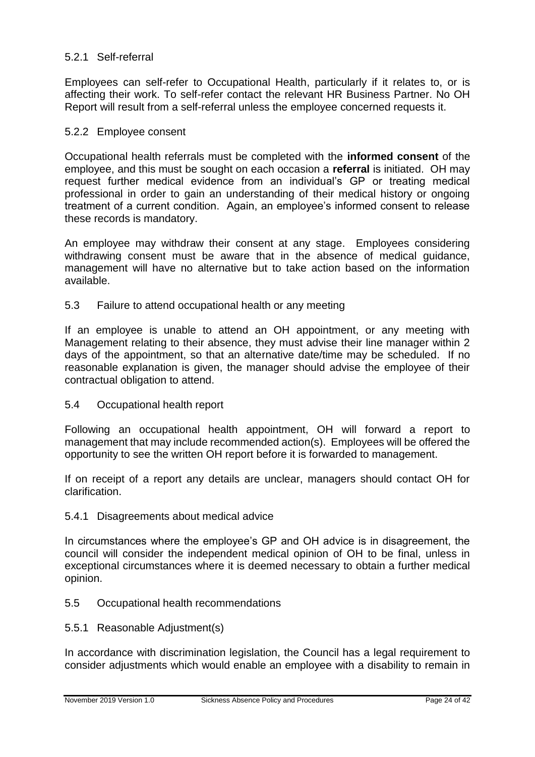#### 5.2.1 Self-referral

Employees can self-refer to Occupational Health, particularly if it relates to, or is affecting their work. To self-refer contact the relevant HR Business Partner. No OH Report will result from a self-referral unless the employee concerned requests it.

#### 5.2.2 Employee consent

Occupational health referrals must be completed with the **informed consent** of the employee, and this must be sought on each occasion a **referral** is initiated. OH may request further medical evidence from an individual's GP or treating medical professional in order to gain an understanding of their medical history or ongoing treatment of a current condition. Again, an employee's informed consent to release these records is mandatory.

An employee may withdraw their consent at any stage. Employees considering withdrawing consent must be aware that in the absence of medical guidance, management will have no alternative but to take action based on the information available.

5.3 Failure to attend occupational health or any meeting

If an employee is unable to attend an OH appointment, or any meeting with Management relating to their absence, they must advise their line manager within 2 days of the appointment, so that an alternative date/time may be scheduled. If no reasonable explanation is given, the manager should advise the employee of their contractual obligation to attend.

5.4 Occupational health report

Following an occupational health appointment, OH will forward a report to management that may include recommended action(s). Employees will be offered the opportunity to see the written OH report before it is forwarded to management.

If on receipt of a report any details are unclear, managers should contact OH for clarification.

5.4.1 Disagreements about medical advice

In circumstances where the employee's GP and OH advice is in disagreement, the council will consider the independent medical opinion of OH to be final, unless in exceptional circumstances where it is deemed necessary to obtain a further medical opinion.

- 5.5 Occupational health recommendations
- 5.5.1 Reasonable Adjustment(s)

In accordance with discrimination legislation, the Council has a legal requirement to consider adjustments which would enable an employee with a disability to remain in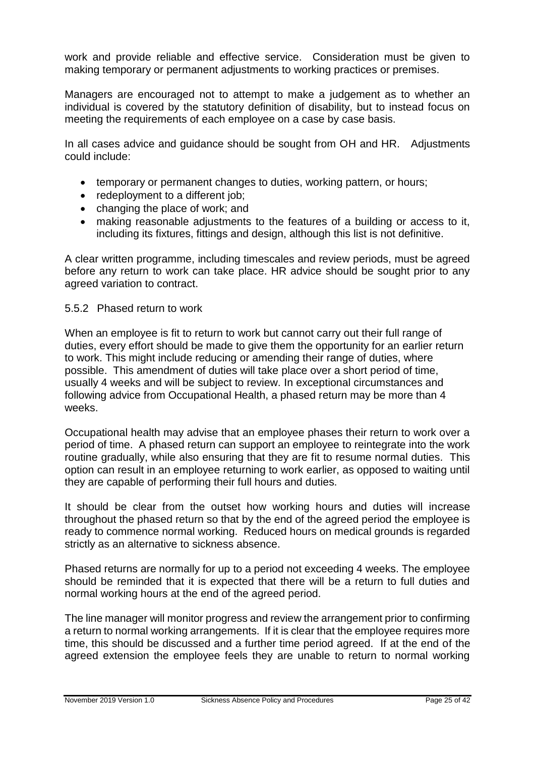work and provide reliable and effective service. Consideration must be given to making temporary or permanent adjustments to working practices or premises.

Managers are encouraged not to attempt to make a judgement as to whether an individual is covered by the statutory definition of disability, but to instead focus on meeting the requirements of each employee on a case by case basis.

In all cases advice and guidance should be sought from OH and HR. Adjustments could include:

- temporary or permanent changes to duties, working pattern, or hours;
- redeployment to a different job;
- changing the place of work; and
- making reasonable adjustments to the features of a building or access to it, including its fixtures, fittings and design, although this list is not definitive.

A clear written programme, including timescales and review periods, must be agreed before any return to work can take place. HR advice should be sought prior to any agreed variation to contract.

#### 5.5.2 Phased return to work

When an employee is fit to return to work but cannot carry out their full range of duties, every effort should be made to give them the opportunity for an earlier return to work. This might include reducing or amending their range of duties, where possible. This amendment of duties will take place over a short period of time, usually 4 weeks and will be subject to review. In exceptional circumstances and following advice from Occupational Health, a phased return may be more than 4 weeks.

Occupational health may advise that an employee phases their return to work over a period of time. A phased return can support an employee to reintegrate into the work routine gradually, while also ensuring that they are fit to resume normal duties. This option can result in an employee returning to work earlier, as opposed to waiting until they are capable of performing their full hours and duties.

It should be clear from the outset how working hours and duties will increase throughout the phased return so that by the end of the agreed period the employee is ready to commence normal working. Reduced hours on medical grounds is regarded strictly as an alternative to sickness absence.

Phased returns are normally for up to a period not exceeding 4 weeks. The employee should be reminded that it is expected that there will be a return to full duties and normal working hours at the end of the agreed period.

The line manager will monitor progress and review the arrangement prior to confirming a return to normal working arrangements. If it is clear that the employee requires more time, this should be discussed and a further time period agreed. If at the end of the agreed extension the employee feels they are unable to return to normal working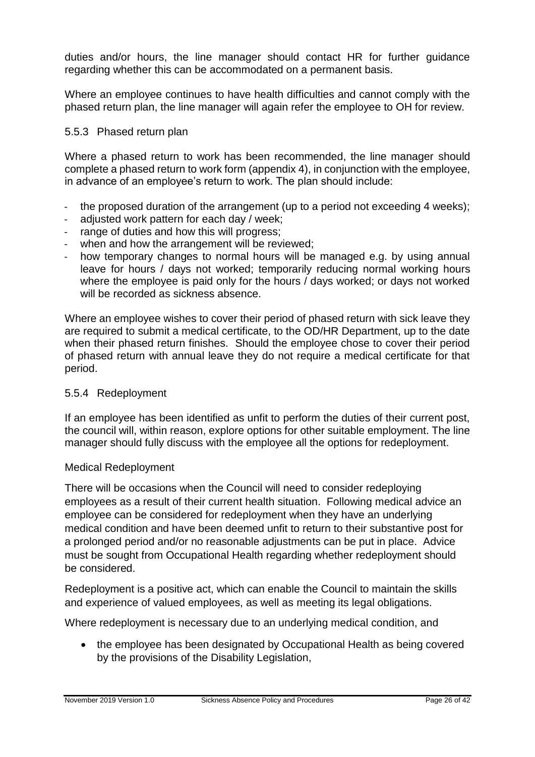duties and/or hours, the line manager should contact HR for further guidance regarding whether this can be accommodated on a permanent basis.

Where an employee continues to have health difficulties and cannot comply with the phased return plan, the line manager will again refer the employee to OH for review.

#### 5.5.3 Phased return plan

Where a phased return to work has been recommended, the line manager should complete a phased return to work form (appendix 4), in conjunction with the employee, in advance of an employee's return to work. The plan should include:

- the proposed duration of the arrangement (up to a period not exceeding 4 weeks);
- adjusted work pattern for each day / week;
- range of duties and how this will progress;
- when and how the arrangement will be reviewed:
- how temporary changes to normal hours will be managed e.g. by using annual leave for hours / days not worked; temporarily reducing normal working hours where the employee is paid only for the hours / days worked; or days not worked will be recorded as sickness absence.

Where an employee wishes to cover their period of phased return with sick leave they are required to submit a medical certificate, to the OD/HR Department, up to the date when their phased return finishes. Should the employee chose to cover their period of phased return with annual leave they do not require a medical certificate for that period.

#### 5.5.4 Redeployment

If an employee has been identified as unfit to perform the duties of their current post, the council will, within reason, explore options for other suitable employment. The line manager should fully discuss with the employee all the options for redeployment.

#### Medical Redeployment

There will be occasions when the Council will need to consider redeploying employees as a result of their current health situation. Following medical advice an employee can be considered for redeployment when they have an underlying medical condition and have been deemed unfit to return to their substantive post for a prolonged period and/or no reasonable adjustments can be put in place. Advice must be sought from Occupational Health regarding whether redeployment should be considered.

Redeployment is a positive act, which can enable the Council to maintain the skills and experience of valued employees, as well as meeting its legal obligations.

Where redeployment is necessary due to an underlying medical condition, and

• the employee has been designated by Occupational Health as being covered by the provisions of the Disability Legislation,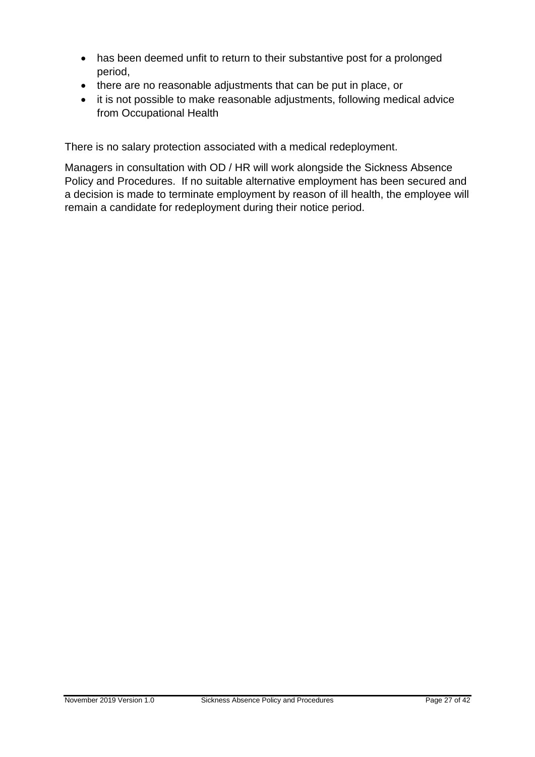- has been deemed unfit to return to their substantive post for a prolonged period,
- there are no reasonable adjustments that can be put in place, or
- it is not possible to make reasonable adjustments, following medical advice from Occupational Health

There is no salary protection associated with a medical redeployment.

Managers in consultation with OD / HR will work alongside the Sickness Absence Policy and Procedures. If no suitable alternative employment has been secured and a decision is made to terminate employment by reason of ill health, the employee will remain a candidate for redeployment during their notice period.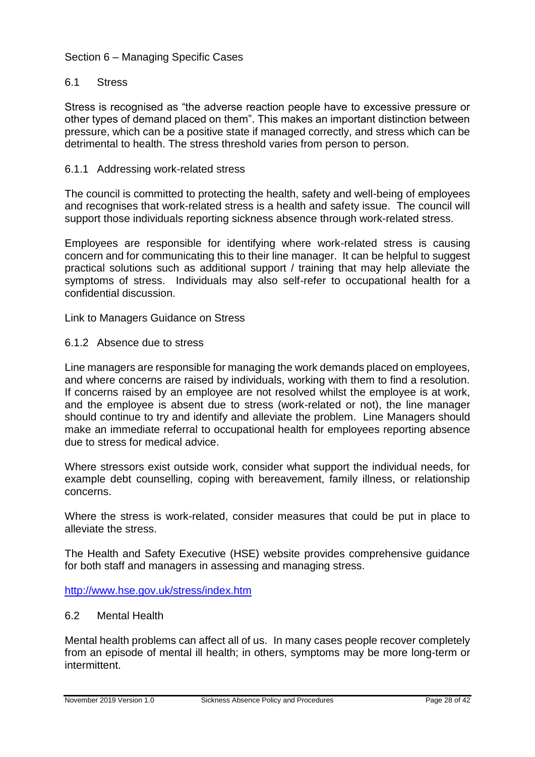#### Section 6 – Managing Specific Cases

#### 6.1 Stress

Stress is recognised as "the adverse reaction people have to excessive pressure or other types of demand placed on them". This makes an important distinction between pressure, which can be a positive state if managed correctly, and stress which can be detrimental to health. The stress threshold varies from person to person.

#### 6.1.1 Addressing work-related stress

The council is committed to protecting the health, safety and well-being of employees and recognises that work-related stress is a health and safety issue. The council will support those individuals reporting sickness absence through work-related stress.

Employees are responsible for identifying where work-related stress is causing concern and for communicating this to their line manager. It can be helpful to suggest practical solutions such as additional support / training that may help alleviate the symptoms of stress. Individuals may also self-refer to occupational health for a confidential discussion.

Link to Managers Guidance on Stress

#### 6.1.2 Absence due to stress

Line managers are responsible for managing the work demands placed on employees, and where concerns are raised by individuals, working with them to find a resolution. If concerns raised by an employee are not resolved whilst the employee is at work, and the employee is absent due to stress (work-related or not), the line manager should continue to try and identify and alleviate the problem. Line Managers should make an immediate referral to occupational health for employees reporting absence due to stress for medical advice.

Where stressors exist outside work, consider what support the individual needs, for example debt counselling, coping with bereavement, family illness, or relationship concerns.

Where the stress is work-related, consider measures that could be put in place to alleviate the stress.

The Health and Safety Executive (HSE) website provides comprehensive guidance for both staff and managers in assessing and managing stress.

<http://www.hse.gov.uk/stress/index.htm>

#### 6.2 Mental Health

Mental health problems can affect all of us. In many cases people recover completely from an episode of mental ill health; in others, symptoms may be more long-term or intermittent.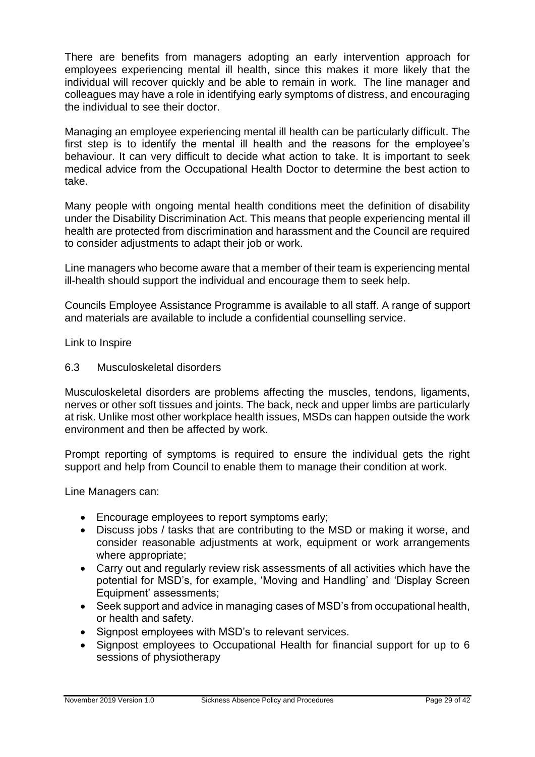There are benefits from managers adopting an early intervention approach for employees experiencing mental ill health, since this makes it more likely that the individual will recover quickly and be able to remain in work. The line manager and colleagues may have a role in identifying early symptoms of distress, and encouraging the individual to see their doctor.

Managing an employee experiencing mental ill health can be particularly difficult. The first step is to identify the mental ill health and the reasons for the employee's behaviour. It can very difficult to decide what action to take. It is important to seek medical advice from the Occupational Health Doctor to determine the best action to take.

Many people with ongoing mental health conditions meet the definition of disability under the Disability Discrimination Act. This means that people experiencing mental ill health are protected from discrimination and harassment and the Council are required to consider adjustments to adapt their job or work.

Line managers who become aware that a member of their team is experiencing mental ill-health should support the individual and encourage them to seek help.

Councils Employee Assistance Programme is available to all staff. A range of support and materials are available to include a confidential counselling service.

Link to Inspire

#### 6.3 Musculoskeletal disorders

Musculoskeletal disorders are problems affecting the muscles, tendons, ligaments, nerves or other soft tissues and joints. The back, neck and upper limbs are particularly at risk. Unlike most other workplace health issues, MSDs can happen outside the work environment and then be affected by work.

Prompt reporting of symptoms is required to ensure the individual gets the right support and help from Council to enable them to manage their condition at work.

Line Managers can:

- Encourage employees to report symptoms early;
- Discuss jobs / tasks that are contributing to the MSD or making it worse, and consider reasonable adjustments at work, equipment or work arrangements where appropriate;
- Carry out and regularly review risk assessments of all activities which have the potential for MSD's, for example, 'Moving and Handling' and 'Display Screen Equipment' assessments;
- Seek support and advice in managing cases of MSD's from occupational health, or health and safety.
- Signpost employees with MSD's to relevant services.
- Signpost employees to Occupational Health for financial support for up to 6 sessions of physiotherapy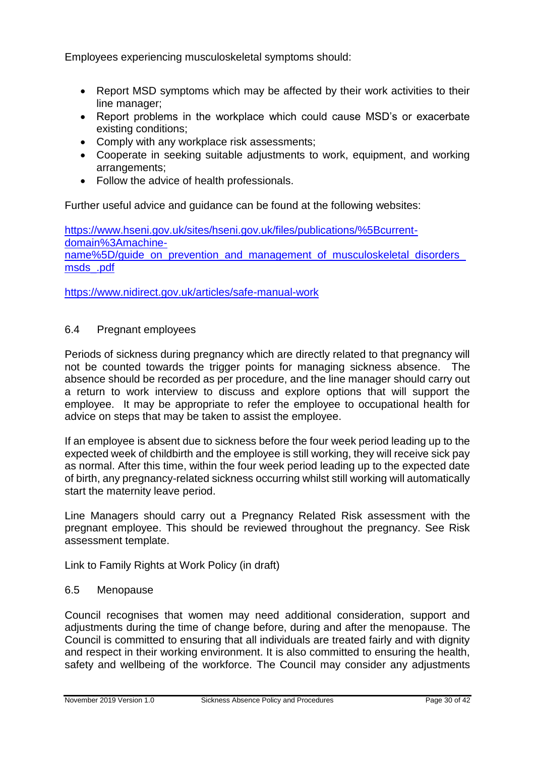Employees experiencing musculoskeletal symptoms should:

- Report MSD symptoms which may be affected by their work activities to their line manager;
- Report problems in the workplace which could cause MSD's or exacerbate existing conditions;
- Comply with any workplace risk assessments;
- Cooperate in seeking suitable adjustments to work, equipment, and working arrangements;
- Follow the advice of health professionals.

Further useful advice and guidance can be found at the following websites:

[https://www.hseni.gov.uk/sites/hseni.gov.uk/files/publications/%5Bcurrent](https://www.hseni.gov.uk/sites/hseni.gov.uk/files/publications/%5Bcurrent-domain%3Amachine-name%5D/guide_on_prevention_and_management_of_musculoskeletal_disorders_msds_.pdf)[domain%3Amachine](https://www.hseni.gov.uk/sites/hseni.gov.uk/files/publications/%5Bcurrent-domain%3Amachine-name%5D/guide_on_prevention_and_management_of_musculoskeletal_disorders_msds_.pdf)name%5D/quide\_on\_prevention\_and\_management\_of\_musculoskeletal\_disorders [msds\\_.pdf](https://www.hseni.gov.uk/sites/hseni.gov.uk/files/publications/%5Bcurrent-domain%3Amachine-name%5D/guide_on_prevention_and_management_of_musculoskeletal_disorders_msds_.pdf)

<https://www.nidirect.gov.uk/articles/safe-manual-work>

#### 6.4 Pregnant employees

Periods of sickness during pregnancy which are directly related to that pregnancy will not be counted towards the trigger points for managing sickness absence. The absence should be recorded as per procedure, and the line manager should carry out a return to work interview to discuss and explore options that will support the employee. It may be appropriate to refer the employee to occupational health for advice on steps that may be taken to assist the employee.

If an employee is absent due to sickness before the four week period leading up to the expected week of childbirth and the employee is still working, they will receive sick pay as normal. After this time, within the four week period leading up to the expected date of birth, any pregnancy-related sickness occurring whilst still working will automatically start the maternity leave period.

Line Managers should carry out a Pregnancy Related Risk assessment with the pregnant employee. This should be reviewed throughout the pregnancy. See Risk assessment template.

Link to Family Rights at Work Policy (in draft)

#### 6.5 Menopause

Council recognises that women may need additional consideration, support and adjustments during the time of change before, during and after the menopause. The Council is committed to ensuring that all individuals are treated fairly and with dignity and respect in their working environment. It is also committed to ensuring the health, safety and wellbeing of the workforce. The Council may consider any adjustments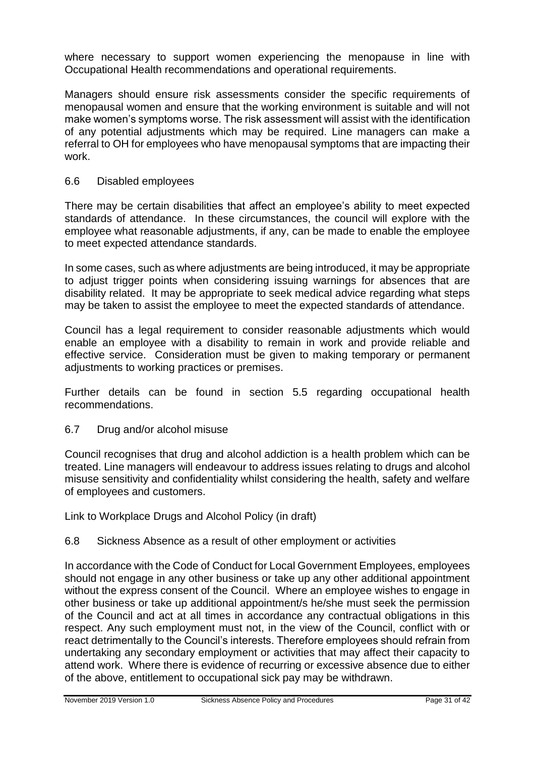where necessary to support women experiencing the menopause in line with Occupational Health recommendations and operational requirements.

Managers should ensure risk assessments consider the specific requirements of menopausal women and ensure that the working environment is suitable and will not make women's symptoms worse. The risk assessment will assist with the identification of any potential adjustments which may be required. Line managers can make a referral to OH for employees who have menopausal symptoms that are impacting their work.

#### 6.6 Disabled employees

There may be certain disabilities that affect an employee's ability to meet expected standards of attendance. In these circumstances, the council will explore with the employee what reasonable adjustments, if any, can be made to enable the employee to meet expected attendance standards.

In some cases, such as where adjustments are being introduced, it may be appropriate to adjust trigger points when considering issuing warnings for absences that are disability related. It may be appropriate to seek medical advice regarding what steps may be taken to assist the employee to meet the expected standards of attendance.

Council has a legal requirement to consider reasonable adjustments which would enable an employee with a disability to remain in work and provide reliable and effective service. Consideration must be given to making temporary or permanent adjustments to working practices or premises.

Further details can be found in section 5.5 regarding occupational health recommendations.

6.7 Drug and/or alcohol misuse

Council recognises that drug and alcohol addiction is a health problem which can be treated. Line managers will endeavour to address issues relating to drugs and alcohol misuse sensitivity and confidentiality whilst considering the health, safety and welfare of employees and customers.

Link to Workplace Drugs and Alcohol Policy (in draft)

#### 6.8 Sickness Absence as a result of other employment or activities

In accordance with the Code of Conduct for Local Government Employees, employees should not engage in any other business or take up any other additional appointment without the express consent of the Council. Where an employee wishes to engage in other business or take up additional appointment/s he/she must seek the permission of the Council and act at all times in accordance any contractual obligations in this respect. Any such employment must not, in the view of the Council, conflict with or react detrimentally to the Council's interests. Therefore employees should refrain from undertaking any secondary employment or activities that may affect their capacity to attend work. Where there is evidence of recurring or excessive absence due to either of the above, entitlement to occupational sick pay may be withdrawn.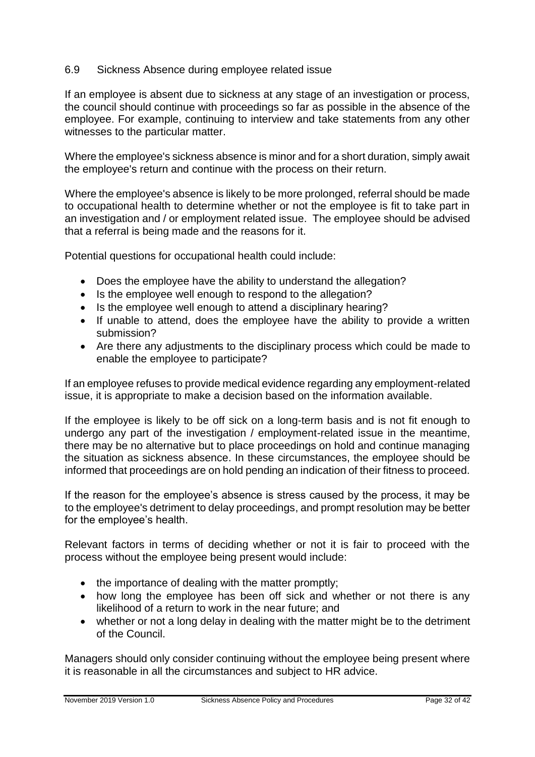#### 6.9 Sickness Absence during employee related issue

If an employee is absent due to sickness at any stage of an investigation or process, the council should continue with proceedings so far as possible in the absence of the employee. For example, continuing to interview and take statements from any other witnesses to the particular matter.

Where the employee's sickness absence is minor and for a short duration, simply await the employee's return and continue with the process on their return.

Where the employee's absence is likely to be more prolonged, referral should be made to occupational health to determine whether or not the employee is fit to take part in an investigation and / or employment related issue. The employee should be advised that a referral is being made and the reasons for it.

Potential questions for occupational health could include:

- Does the employee have the ability to understand the allegation?
- Is the employee well enough to respond to the allegation?
- Is the employee well enough to attend a disciplinary hearing?
- If unable to attend, does the employee have the ability to provide a written submission?
- Are there any adjustments to the disciplinary process which could be made to enable the employee to participate?

If an employee refuses to provide medical evidence regarding any employment-related issue, it is appropriate to make a decision based on the information available.

If the employee is likely to be off sick on a long-term basis and is not fit enough to undergo any part of the investigation / employment-related issue in the meantime, there may be no alternative but to place proceedings on hold and continue managing the situation as sickness absence. In these circumstances, the employee should be informed that proceedings are on hold pending an indication of their fitness to proceed.

If the reason for the employee's absence is stress caused by the process, it may be to the employee's detriment to delay proceedings, and prompt resolution may be better for the employee's health.

Relevant factors in terms of deciding whether or not it is fair to proceed with the process without the employee being present would include:

- the importance of dealing with the matter promptly;
- how long the employee has been off sick and whether or not there is any likelihood of a return to work in the near future; and
- whether or not a long delay in dealing with the matter might be to the detriment of the Council.

Managers should only consider continuing without the employee being present where it is reasonable in all the circumstances and subject to HR advice.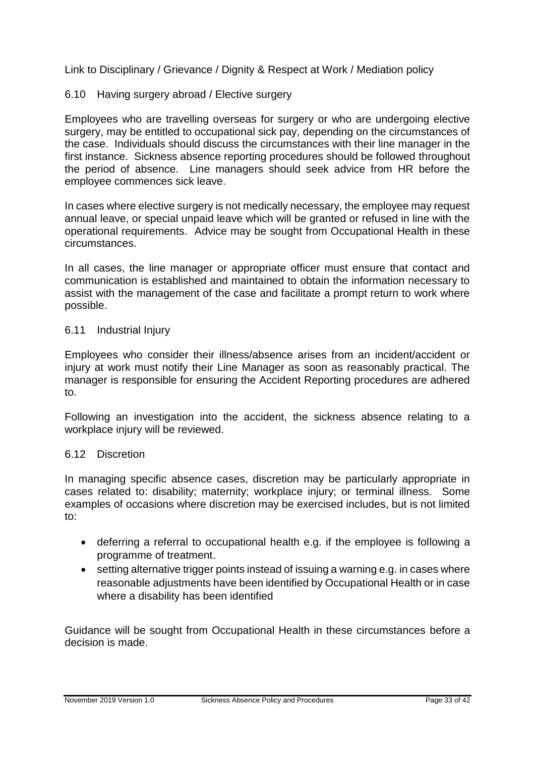Link to Disciplinary / Grievance / Dignity & Respect at Work / Mediation policy

#### 6.10 Having surgery abroad / Elective surgery

Employees who are travelling overseas for surgery or who are undergoing elective surgery, may be entitled to occupational sick pay, depending on the circumstances of the case. Individuals should discuss the circumstances with their line manager in the first instance. Sickness absence reporting procedures should be followed throughout the period of absence. Line managers should seek advice from HR before the employee commences sick leave.

In cases where elective surgery is not medically necessary, the employee may request annual leave, or special unpaid leave which will be granted or refused in line with the operational requirements. Advice may be sought from Occupational Health in these circumstances.

In all cases, the line manager or appropriate officer must ensure that contact and communication is established and maintained to obtain the information necessary to assist with the management of the case and facilitate a prompt return to work where possible.

#### 6.11 Industrial Injury

Employees who consider their illness/absence arises from an incident/accident or injury at work must notify their Line Manager as soon as reasonably practical. The manager is responsible for ensuring the Accident Reporting procedures are adhered to.

Following an investigation into the accident, the sickness absence relating to a workplace injury will be reviewed.

#### 6.12 Discretion

In managing specific absence cases, discretion may be particularly appropriate in cases related to: disability; maternity; workplace injury; or terminal illness. Some examples of occasions where discretion may be exercised includes, but is not limited to:

- deferring a referral to occupational health e.g. if the employee is following a programme of treatment.
- setting alternative trigger points instead of issuing a warning e.g. in cases where reasonable adjustments have been identified by Occupational Health or in case where a disability has been identified

Guidance will be sought from Occupational Health in these circumstances before a decision is made.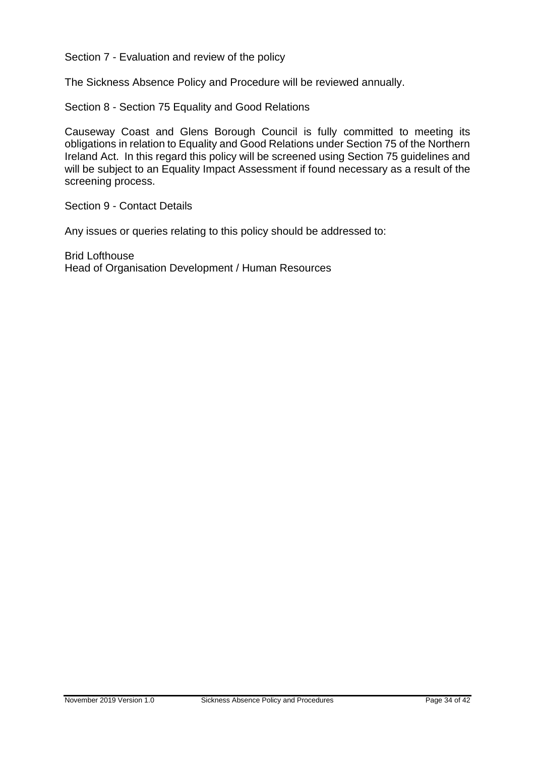Section 7 - Evaluation and review of the policy

The Sickness Absence Policy and Procedure will be reviewed annually.

Section 8 - Section 75 Equality and Good Relations

Causeway Coast and Glens Borough Council is fully committed to meeting its obligations in relation to Equality and Good Relations under Section 75 of the Northern Ireland Act. In this regard this policy will be screened using Section 75 guidelines and will be subject to an Equality Impact Assessment if found necessary as a result of the screening process.

Section 9 - Contact Details

Any issues or queries relating to this policy should be addressed to:

Brid Lofthouse Head of Organisation Development / Human Resources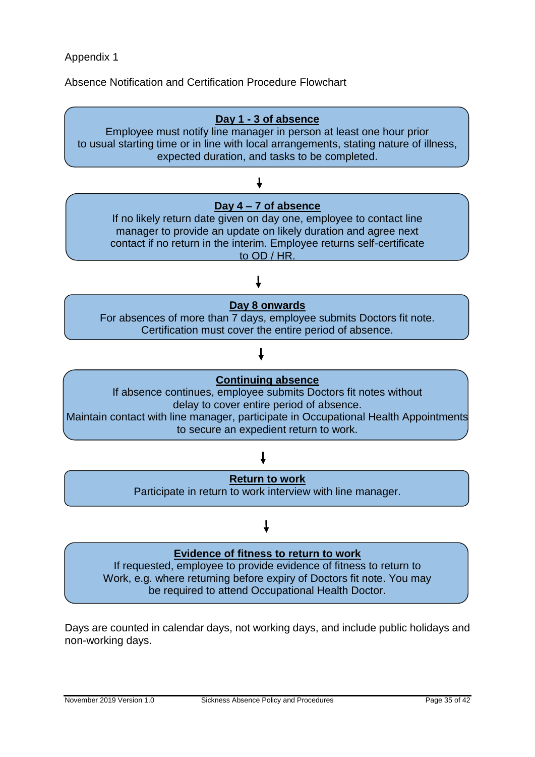#### Appendix 1

Absence Notification and Certification Procedure Flowchart

#### **Day 1 - 3 of absence**

Employee must notify line manager in person at least one hour prior to usual starting time or in line with local arrangements, stating nature of illness, expected duration, and tasks to be completed.

#### **Day 4 – 7 of absence**

If no likely return date given on day one, employee to contact line manager to provide an update on likely duration and agree next contact if no return in the interim. Employee returns self-certificate to OD / HR.

**Day 8 onwards**

For absences of more than 7 days, employee submits Doctors fit note. Certification must cover the entire period of absence.

# Ť

#### **Continuing absence**

If absence continues, employee submits Doctors fit notes without delay to cover entire period of absence. Maintain contact with line manager, participate in Occupational Health Appointments to secure an expedient return to work.

#### **Return to work**

Participate in return to work interview with line manager.

#### **Evidence of fitness to return to work**

If requested, employee to provide evidence of fitness to return to Work, e.g. where returning before expiry of Doctors fit note. You may be required to attend Occupational Health Doctor.

Days are counted in calendar days, not working days, and include public holidays and non-working days.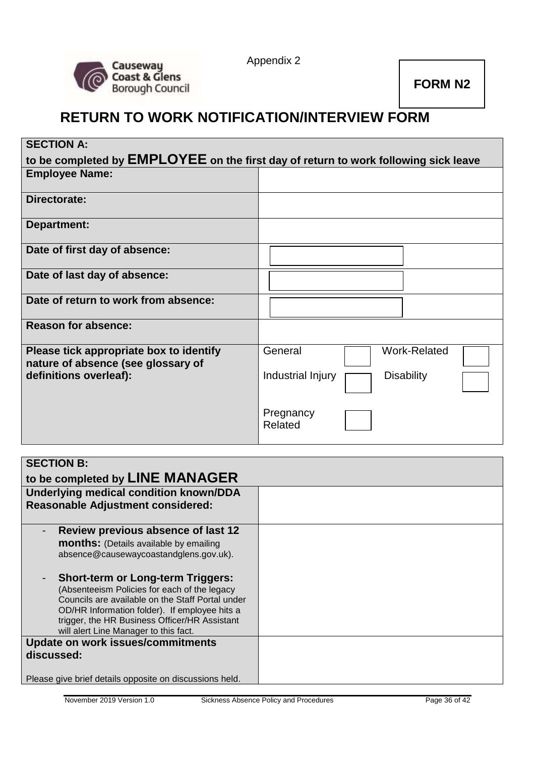

## **RETURN TO WORK NOTIFICATION/INTERVIEW FORM**

| <b>SECTION A:</b>                                                                   |                                        |
|-------------------------------------------------------------------------------------|----------------------------------------|
| to be completed by EMPLOYEE on the first day of return to work following sick leave |                                        |
| <b>Employee Name:</b>                                                               |                                        |
| Directorate:                                                                        |                                        |
| Department:                                                                         |                                        |
| Date of first day of absence:                                                       |                                        |
| Date of last day of absence:                                                        |                                        |
| Date of return to work from absence:                                                |                                        |
| <b>Reason for absence:</b>                                                          |                                        |
| Please tick appropriate box to identify<br>nature of absence (see glossary of       | <b>Work-Related</b><br>General         |
| definitions overleaf):                                                              | Industrial Injury<br><b>Disability</b> |
|                                                                                     | Pregnancy<br>Related                   |

| <b>SECTION B:</b>                                                                                                                                                                                                                                                                       |  |
|-----------------------------------------------------------------------------------------------------------------------------------------------------------------------------------------------------------------------------------------------------------------------------------------|--|
| to be completed by LINE MANAGER                                                                                                                                                                                                                                                         |  |
| Underlying medical condition known/DDA<br><b>Reasonable Adjustment considered:</b>                                                                                                                                                                                                      |  |
| Review previous absence of last 12<br>-<br><b>months:</b> (Details available by emailing<br>absence@causewaycoastandglens.gov.uk).                                                                                                                                                      |  |
| <b>Short-term or Long-term Triggers:</b><br>(Absenteeism Policies for each of the legacy<br>Councils are available on the Staff Portal under<br>OD/HR Information folder). If employee hits a<br>trigger, the HR Business Officer/HR Assistant<br>will alert Line Manager to this fact. |  |
| <b>Update on work issues/commitments</b>                                                                                                                                                                                                                                                |  |
| discussed:                                                                                                                                                                                                                                                                              |  |
| Please give brief details opposite on discussions held.                                                                                                                                                                                                                                 |  |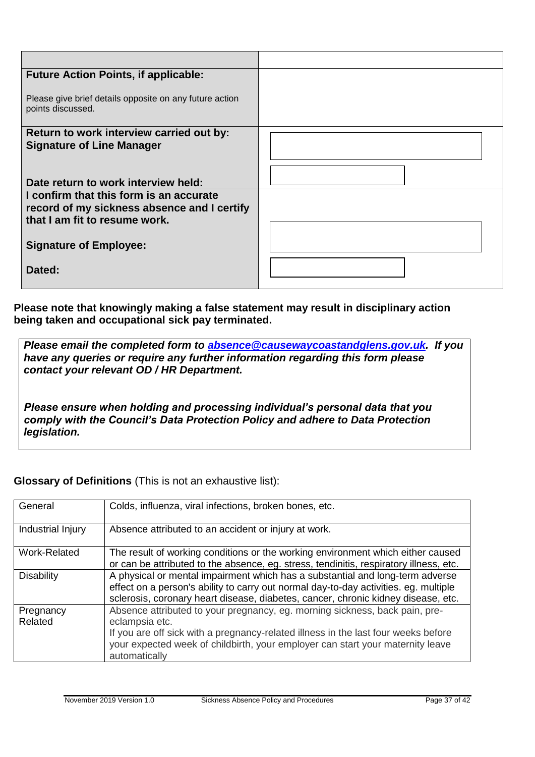| <b>Future Action Points, if applicable:</b>                                            |  |
|----------------------------------------------------------------------------------------|--|
| Please give brief details opposite on any future action<br>points discussed.           |  |
| Return to work interview carried out by:                                               |  |
| <b>Signature of Line Manager</b>                                                       |  |
|                                                                                        |  |
| Date return to work interview held:                                                    |  |
| I confirm that this form is an accurate                                                |  |
|                                                                                        |  |
|                                                                                        |  |
| <b>Signature of Employee:</b>                                                          |  |
|                                                                                        |  |
|                                                                                        |  |
| record of my sickness absence and I certify<br>that I am fit to resume work.<br>Dated: |  |

**Please note that knowingly making a false statement may result in disciplinary action being taken and occupational sick pay terminated.**

*Please email the completed form to [absence@causewaycoastandglens.gov.uk.](mailto:absence@causewaycoastandglens.gov.uk) If you have any queries or require any further information regarding this form please contact your relevant OD / HR Department.* 

*Please ensure when holding and processing individual's personal data that you comply with the Council's Data Protection Policy and adhere to Data Protection legislation.*

#### **Glossary of Definitions** (This is not an exhaustive list):

| General              | Colds, influenza, viral infections, broken bones, etc.                                                                                                                                                                                                                                 |
|----------------------|----------------------------------------------------------------------------------------------------------------------------------------------------------------------------------------------------------------------------------------------------------------------------------------|
| Industrial Injury    | Absence attributed to an accident or injury at work.                                                                                                                                                                                                                                   |
| <b>Work-Related</b>  | The result of working conditions or the working environment which either caused<br>or can be attributed to the absence, eg. stress, tendinitis, respiratory illness, etc.                                                                                                              |
| <b>Disability</b>    | A physical or mental impairment which has a substantial and long-term adverse<br>effect on a person's ability to carry out normal day-to-day activities. eg. multiple<br>sclerosis, coronary heart disease, diabetes, cancer, chronic kidney disease, etc.                             |
| Pregnancy<br>Related | Absence attributed to your pregnancy, eg. morning sickness, back pain, pre-<br>eclampsia etc.<br>If you are off sick with a pregnancy-related illness in the last four weeks before<br>vour expected week of childbirth, your employer can start your maternity leave<br>automatically |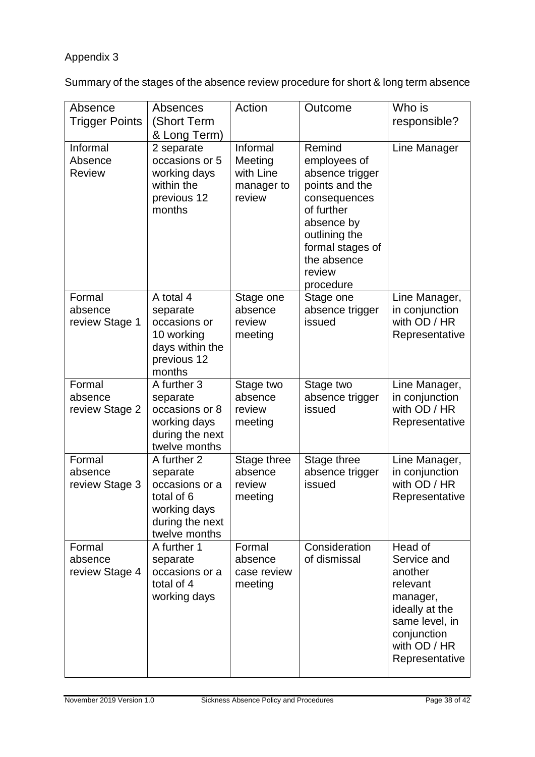## Appendix 3

Summary of the stages of the absence review procedure for short & long term absence

| Absence                              | Absences                                                                                                    | Action                                                   | Outcome                                                                                                                                                                            | Who is                                                                                                                                         |
|--------------------------------------|-------------------------------------------------------------------------------------------------------------|----------------------------------------------------------|------------------------------------------------------------------------------------------------------------------------------------------------------------------------------------|------------------------------------------------------------------------------------------------------------------------------------------------|
| <b>Trigger Points</b>                | (Short Term<br>& Long Term)                                                                                 |                                                          |                                                                                                                                                                                    | responsible?                                                                                                                                   |
| Informal<br>Absence<br><b>Review</b> | 2 separate<br>occasions or 5<br>working days<br>within the<br>previous 12<br>months                         | Informal<br>Meeting<br>with Line<br>manager to<br>review | Remind<br>employees of<br>absence trigger<br>points and the<br>consequences<br>of further<br>absence by<br>outlining the<br>formal stages of<br>the absence<br>review<br>procedure | Line Manager                                                                                                                                   |
| Formal<br>absence<br>review Stage 1  | A total 4<br>separate<br>occasions or<br>10 working<br>days within the<br>previous 12<br>months             | Stage one<br>absence<br>review<br>meeting                | Stage one<br>absence trigger<br>issued                                                                                                                                             | Line Manager,<br>in conjunction<br>with OD / HR<br>Representative                                                                              |
| Formal<br>absence<br>review Stage 2  | A further 3<br>separate<br>occasions or 8<br>working days<br>during the next<br>twelve months               | Stage two<br>absence<br>review<br>meeting                | Stage two<br>absence trigger<br>issued                                                                                                                                             | Line Manager,<br>in conjunction<br>with OD / HR<br>Representative                                                                              |
| Formal<br>absence<br>review Stage 3  | A further 2<br>separate<br>occasions or a<br>total of 6<br>working days<br>during the next<br>twelve months | Stage three<br>absence<br>review<br>meeting              | Stage three<br>absence trigger<br>issued                                                                                                                                           | Line Manager,<br>in conjunction<br>with OD / HR<br>Representative                                                                              |
| Formal<br>absence<br>review Stage 4  | A further 1<br>separate<br>occasions or a<br>total of 4<br>working days                                     | Formal<br>absence<br>case review<br>meeting              | Consideration<br>of dismissal                                                                                                                                                      | Head of<br>Service and<br>another<br>relevant<br>manager,<br>ideally at the<br>same level, in<br>conjunction<br>with OD / HR<br>Representative |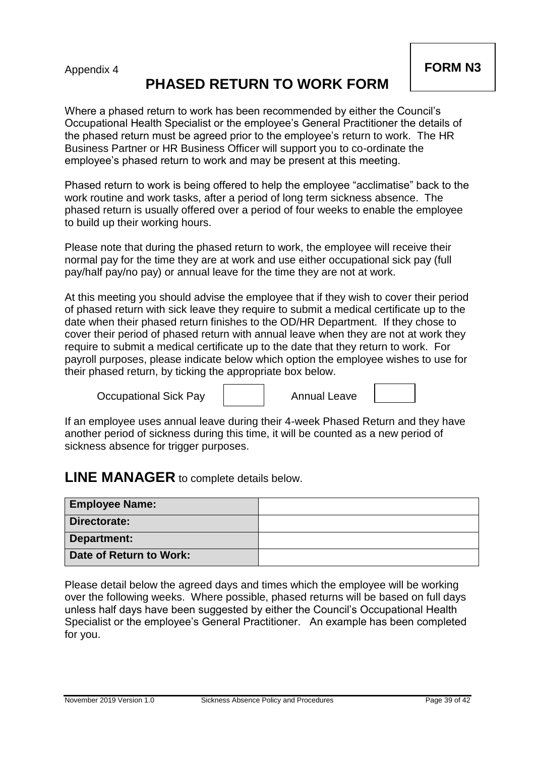## **PHASED RETURN TO WORK FORM**

Where a phased return to work has been recommended by either the Council's Occupational Health Specialist or the employee's General Practitioner the details of the phased return must be agreed prior to the employee's return to work. The HR Business Partner or HR Business Officer will support you to co-ordinate the employee's phased return to work and may be present at this meeting.

Phased return to work is being offered to help the employee "acclimatise" back to the work routine and work tasks, after a period of long term sickness absence. The phased return is usually offered over a period of four weeks to enable the employee to build up their working hours.

Please note that during the phased return to work, the employee will receive their normal pay for the time they are at work and use either occupational sick pay (full pay/half pay/no pay) or annual leave for the time they are not at work.

At this meeting you should advise the employee that if they wish to cover their period of phased return with sick leave they require to submit a medical certificate up to the date when their phased return finishes to the OD/HR Department. If they chose to cover their period of phased return with annual leave when they are not at work they require to submit a medical certificate up to the date that they return to work. For payroll purposes, please indicate below which option the employee wishes to use for their phased return, by ticking the appropriate box below.

Occupational Sick Pay | Annual Leave



If an employee uses annual leave during their 4-week Phased Return and they have another period of sickness during this time, it will be counted as a new period of sickness absence for trigger purposes.

### **LINE MANAGER** to complete details below.

| <b>Employee Name:</b>   |  |
|-------------------------|--|
| Directorate:            |  |
| Department:             |  |
| Date of Return to Work: |  |

Please detail below the agreed days and times which the employee will be working over the following weeks. Where possible, phased returns will be based on full days unless half days have been suggested by either the Council's Occupational Health Specialist or the employee's General Practitioner. An example has been completed for you.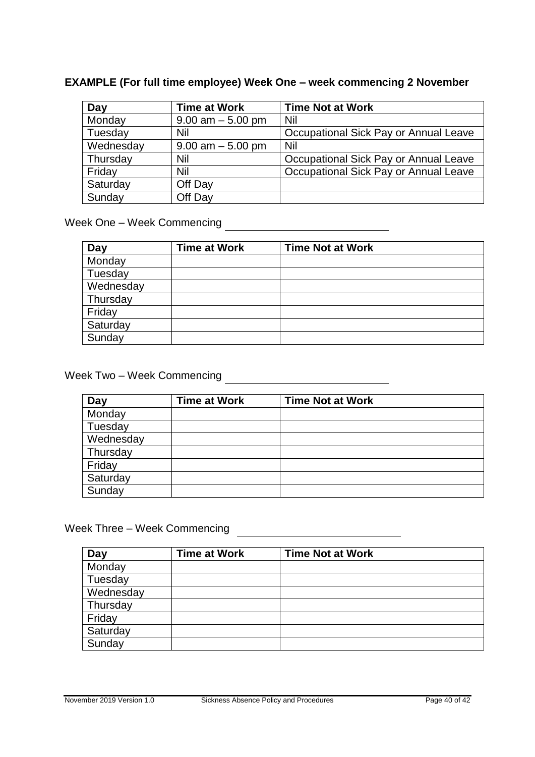### **EXAMPLE (For full time employee) Week One – week commencing 2 November**

| Day       | <b>Time at Work</b>  | <b>Time Not at Work</b>               |
|-----------|----------------------|---------------------------------------|
| Monday    | $9.00$ am $-5.00$ pm | Nil                                   |
| Tuesday   | Nil                  | Occupational Sick Pay or Annual Leave |
| Wednesday | $9.00$ am $-5.00$ pm | Nil                                   |
| Thursday  | Nil                  | Occupational Sick Pay or Annual Leave |
| Friday    | Nil                  | Occupational Sick Pay or Annual Leave |
| Saturday  | Off Day              |                                       |
| Sunday    | Off Day              |                                       |

Week One – Week Commencing

| Day       | <b>Time at Work</b> | <b>Time Not at Work</b> |
|-----------|---------------------|-------------------------|
| Monday    |                     |                         |
| Tuesday   |                     |                         |
| Wednesday |                     |                         |
| Thursday  |                     |                         |
| Friday    |                     |                         |
| Saturday  |                     |                         |
| Sunday    |                     |                         |

Week Two – Week Commencing

| Day       | <b>Time at Work</b> | <b>Time Not at Work</b> |
|-----------|---------------------|-------------------------|
| Monday    |                     |                         |
| Tuesday   |                     |                         |
| Wednesday |                     |                         |
| Thursday  |                     |                         |
| Friday    |                     |                         |
| Saturday  |                     |                         |
| Sunday    |                     |                         |

Week Three – Week Commencing

| Day       | <b>Time at Work</b> | <b>Time Not at Work</b> |
|-----------|---------------------|-------------------------|
| Monday    |                     |                         |
| Tuesday   |                     |                         |
| Wednesday |                     |                         |
| Thursday  |                     |                         |
| Friday    |                     |                         |
| Saturday  |                     |                         |
| Sunday    |                     |                         |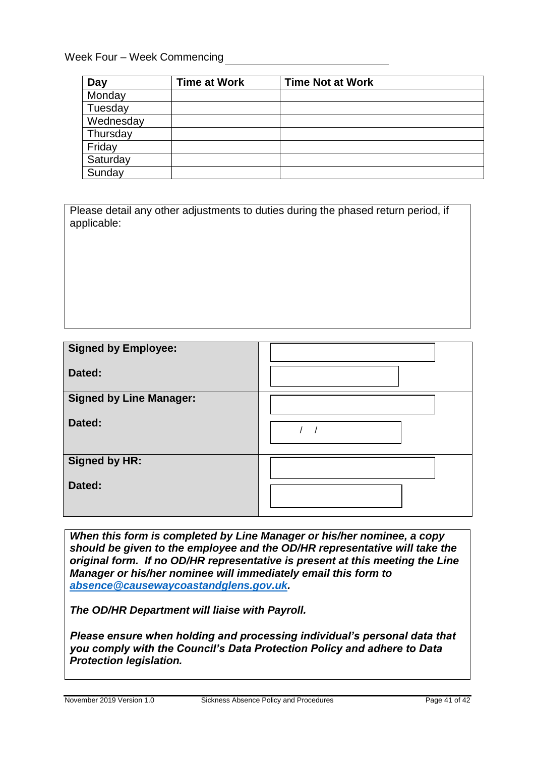#### Week Four – Week Commencing

| Day       | <b>Time at Work</b> | <b>Time Not at Work</b> |  |
|-----------|---------------------|-------------------------|--|
| Monday    |                     |                         |  |
| Tuesday   |                     |                         |  |
| Wednesday |                     |                         |  |
| Thursday  |                     |                         |  |
| Friday    |                     |                         |  |
| Saturday  |                     |                         |  |
| Sunday    |                     |                         |  |

| Please detail any other adjustments to duties during the phased return period, if |  |  |  |
|-----------------------------------------------------------------------------------|--|--|--|
| applicable:                                                                       |  |  |  |

| <b>Signed by Employee:</b>     |  |
|--------------------------------|--|
| Dated:                         |  |
| <b>Signed by Line Manager:</b> |  |
| Dated:                         |  |
| <b>Signed by HR:</b>           |  |
| Dated:                         |  |

*When this form is completed by Line Manager or his/her nominee, a copy should be given to the employee and the OD/HR representative will take the original form. If no OD/HR representative is present at this meeting the Line Manager or his/her nominee will immediately email this form to [absence@causewaycoastandglens.gov.uk.](mailto:absence@causewaycoastandglens.gov.uk)* 

*The OD/HR Department will liaise with Payroll.*

*Please ensure when holding and processing individual's personal data that you comply with the Council's Data Protection Policy and adhere to Data Protection legislation.*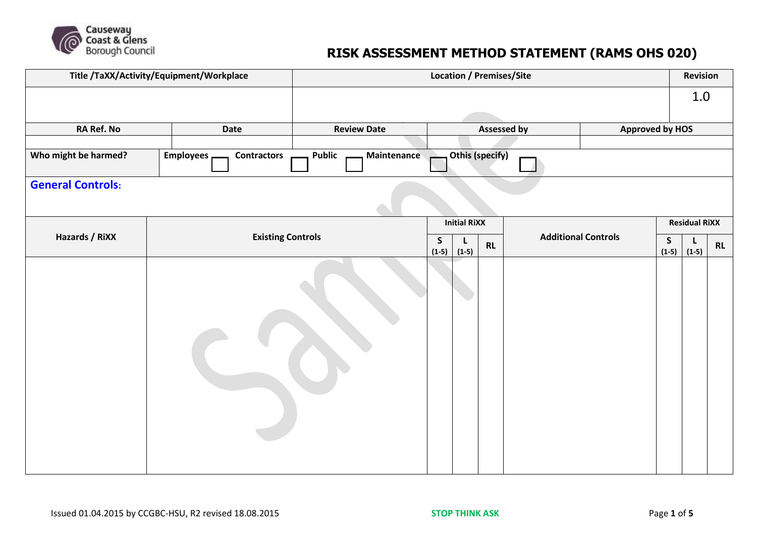

# **Causeway**<br> **Coast & Glens**<br> **RISK ASSESSMENT METHOD STATEMENT (RAMS OHS 020)**

| Title /TaXX/Activity/Equipment/Workplace |                                 | <b>Location / Premises/Site</b> |                    |                        |    |                            |                        |             | Revision             |    |
|------------------------------------------|---------------------------------|---------------------------------|--------------------|------------------------|----|----------------------------|------------------------|-------------|----------------------|----|
|                                          |                                 |                                 |                    |                        |    |                            |                        |             | 1.0                  |    |
| RA Ref. No                               | Date                            | <b>Review Date</b>              |                    |                        |    | <b>Assessed by</b>         | <b>Approved by HOS</b> |             |                      |    |
|                                          |                                 |                                 |                    |                        |    |                            |                        |             |                      |    |
| Who might be harmed?                     | Employees<br><b>Contractors</b> | <b>Public</b><br>Maintenance    |                    | <b>Othis (specify)</b> |    |                            |                        |             |                      |    |
| <b>General Controls:</b>                 |                                 |                                 |                    |                        |    |                            |                        |             |                      |    |
|                                          |                                 | <b>Initial RiXX</b>             |                    |                        |    |                            | <b>Residual RiXX</b>   |             |                      |    |
| Hazards / RiXX                           | <b>Existing Controls</b>        |                                 | $\sf S$<br>$(1-5)$ | <b>L</b><br>$(1-5)$    | RL | <b>Additional Controls</b> |                        | $\mathsf S$ | L<br>$(1-5)$ $(1-5)$ | RL |
|                                          |                                 |                                 |                    |                        |    |                            |                        |             |                      |    |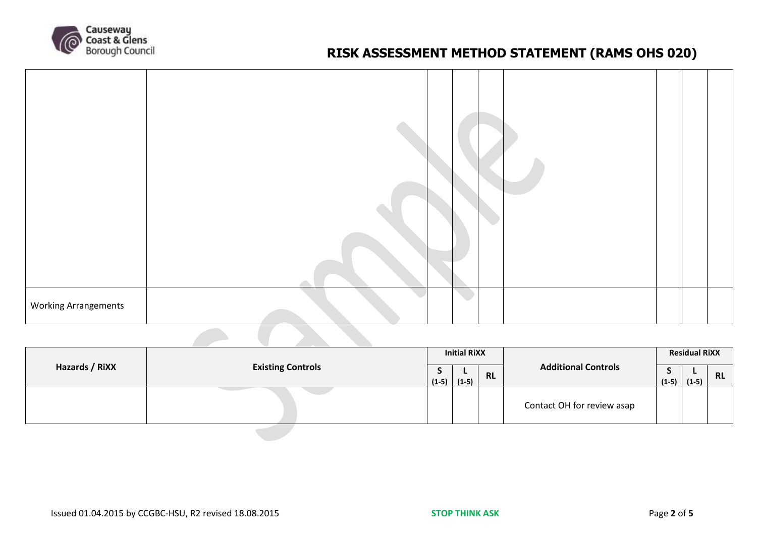

# **Causeway**<br> **RISK ASSESSMENT METHOD STATEMENT (RAMS OHS 020)**<br> **RISK ASSESSMENT METHOD STATEMENT (RAMS OHS 020)**

| <b>Working Arrangements</b> |  |  |
|-----------------------------|--|--|

| Hazards / RiXX | <b>Existing Controls</b> | <b>Initial RiXX</b> |         |           |                            | <b>Residual RiXX</b> |         |           |
|----------------|--------------------------|---------------------|---------|-----------|----------------------------|----------------------|---------|-----------|
|                |                          | <b>ت</b>            |         | <b>RL</b> | <b>Additional Controls</b> |                      |         | <b>RL</b> |
|                |                          | $(1-5)$             | $(1-5)$ |           |                            | $(1-5)$              | $(1-5)$ |           |
|                |                          |                     |         |           | Contact OH for review asap |                      |         |           |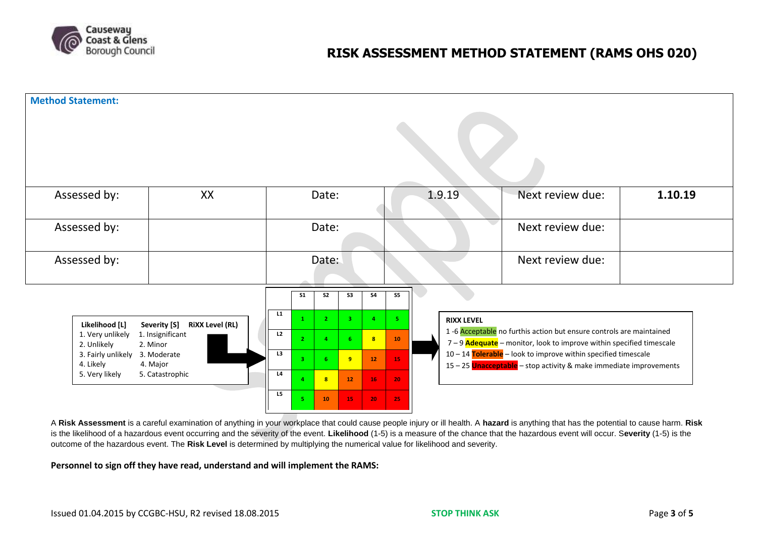

### **RISK ASSESSMENT METHOD STATEMENT (RAMS OHS 020)**

| <b>Method Statement:</b>                                        |                                            |    |                |                         |      |                 |        |  |                                                                                          |                                                                                                                                             |         |  |
|-----------------------------------------------------------------|--------------------------------------------|----|----------------|-------------------------|------|-----------------|--------|--|------------------------------------------------------------------------------------------|---------------------------------------------------------------------------------------------------------------------------------------------|---------|--|
|                                                                 |                                            |    |                |                         |      |                 |        |  |                                                                                          |                                                                                                                                             |         |  |
| Assessed by:                                                    | XX                                         |    | Date:          |                         |      |                 | 1.9.19 |  |                                                                                          | Next review due:                                                                                                                            | 1.10.19 |  |
| Assessed by:                                                    |                                            |    | Date:          |                         |      |                 |        |  |                                                                                          | Next review due:                                                                                                                            |         |  |
| Assessed by:                                                    |                                            |    |                | Date:                   |      |                 |        |  |                                                                                          | Next review due:                                                                                                                            |         |  |
|                                                                 |                                            |    | S <sub>1</sub> | S <sub>2</sub>          | S3   | <b>S4</b>       | S5     |  |                                                                                          |                                                                                                                                             |         |  |
| <b>RiXX Level (RL)</b><br>Likelihood [L]<br>Severity [S]        |                                            |    |                | 2 <sup>1</sup>          | 3.   | 4 <sup>1</sup>  | 5.     |  | <b>RIXX LEVEL</b><br>1-6 Acceptable no furthis action but ensure controls are maintained |                                                                                                                                             |         |  |
| 1. Very unlikely<br>1. Insignificant<br>2. Unlikely<br>2. Minor |                                            | L2 | $\overline{2}$ | $\mathbf{A}$            | 6    | 8               | 10     |  | 7 – 9 <b>Adequate</b> – monitor, look to improve within specified timescale              |                                                                                                                                             |         |  |
| 3. Fairly unlikely<br>4. Likely                                 | 3. Moderate<br>4. Major<br>5. Catastrophic | L3 | R              | 6.                      | 9    | 12 <sup>7</sup> | 15     |  |                                                                                          | 10 - 14 Tolerable - look to improve within specified timescale<br>15 - 25 <b>Unacceptable</b> - stop activity & make immediate improvements |         |  |
| 5. Very likely                                                  |                                            | L4 |                | $\overline{\mathbf{8}}$ | $12$ | 16              | 20     |  |                                                                                          |                                                                                                                                             |         |  |
|                                                                 |                                            | L5 |                | 10                      | 15   | 20              | 25     |  |                                                                                          |                                                                                                                                             |         |  |

A **Risk Assessment** is a careful examination of anything in your workplace that could cause people injury or ill health. A **hazard** is anything that has the potential to cause harm. **Risk** is the likelihood of a hazardous event occurring and the severity of the event. **Likelihood** (1-5) is a measure of the chance that the hazardous event will occur. S**everity** (1-5) is the outcome of the hazardous event. The **Risk Level** is determined by multiplying the numerical value for likelihood and severity.

**Personnel to sign off they have read, understand and will implement the RAMS:**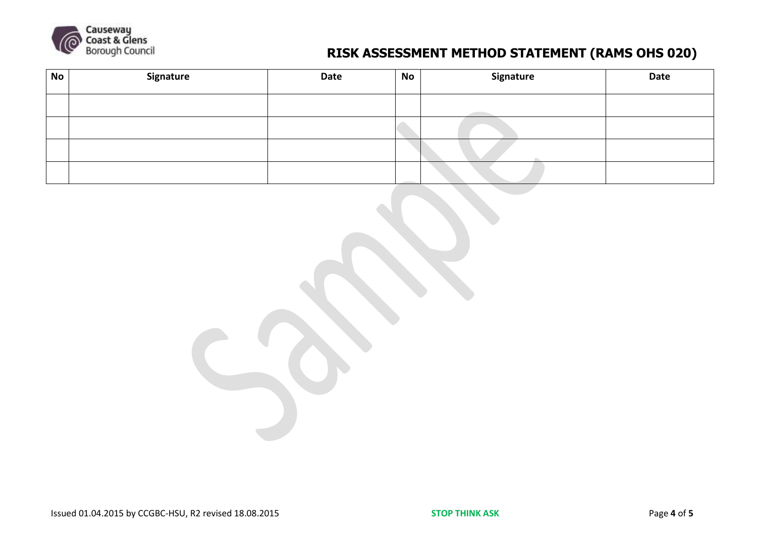

# **Causeway**<br> **Coast & Glens**<br>
Borough Council **Borough Council**

| <b>No</b> | Signature | Date | No | Signature | <b>Date</b> |
|-----------|-----------|------|----|-----------|-------------|
|           |           |      |    |           |             |
|           |           |      |    |           |             |
|           |           |      |    |           |             |
|           |           |      |    |           |             |